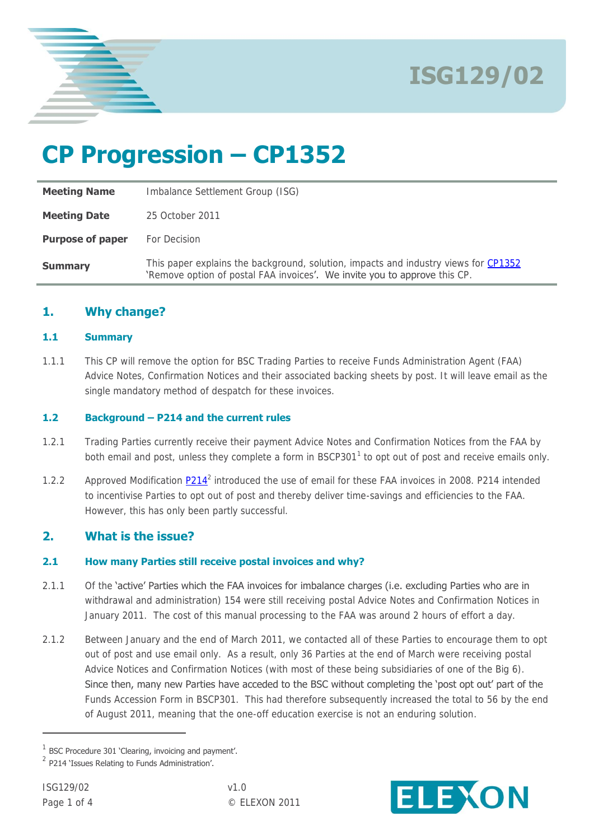

# **CP Progression – CP1352**

| <b>Meeting Name</b>     | Imbalance Settlement Group (ISG)                                                                                                                                 |
|-------------------------|------------------------------------------------------------------------------------------------------------------------------------------------------------------|
| <b>Meeting Date</b>     | 25 October 2011                                                                                                                                                  |
| <b>Purpose of paper</b> | For Decision                                                                                                                                                     |
| <b>Summary</b>          | This paper explains the background, solution, impacts and industry views for CP1352<br>'Remove option of postal FAA invoices'. We invite you to approve this CP. |

#### **1. Why change?**

#### **1.1 Summary**

1.1.1 This CP will remove the option for BSC Trading Parties to receive Funds Administration Agent (FAA) Advice Notes, Confirmation Notices and their associated backing sheets by post. It will leave email as the single mandatory method of despatch for these invoices.

#### **1.2 Background – P214 and the current rules**

- 1.2.1 Trading Parties currently receive their payment Advice Notes and Confirmation Notices from the FAA by both email and post, unless they complete a form in BSCP301<sup>1</sup> to opt out of post and receive emails only.
- 1.2.2 Approved Modification **P214**<sup>2</sup> introduced the use of email for these FAA invoices in 2008. [P214](http://www.elexon.co.uk/Pages/P214.aspx) intended to incentivise Parties to opt out of post and thereby deliver time-savings and efficiencies to the FAA. However, this has only been partly successful.

#### **2. What is the issue?**

#### **2.1 How many Parties still receive postal invoices and why?**

- 2.1.1 Of the 'active' Parties which the FAA invoices for imbalance charges (i.e. excluding Parties who are in withdrawal and administration) 154 were still receiving postal Advice Notes and Confirmation Notices in January 2011. The cost of this manual processing to the FAA was around 2 hours of effort a day.
- 2.1.2 Between January and the end of March 2011, we contacted all of these Parties to encourage them to opt out of post and use email only. As a result, only 36 Parties at the end of March were receiving postal Advice Notices and Confirmation Notices (with most of these being subsidiaries of one of the Big 6). Since then, many new Parties have acceded to the BSC without completing the 'post opt out' part of the Funds Accession Form in BSCP301. This had therefore subsequently increased the total to 56 by the end of August 2011, meaning that the one-off education exercise is not an enduring solution.

 $\overline{a}$ 



 $1$  BSC Procedure 301 'Clearing, invoicing and payment'.

 $2$  P214 'Issues Relating to Funds Administration'.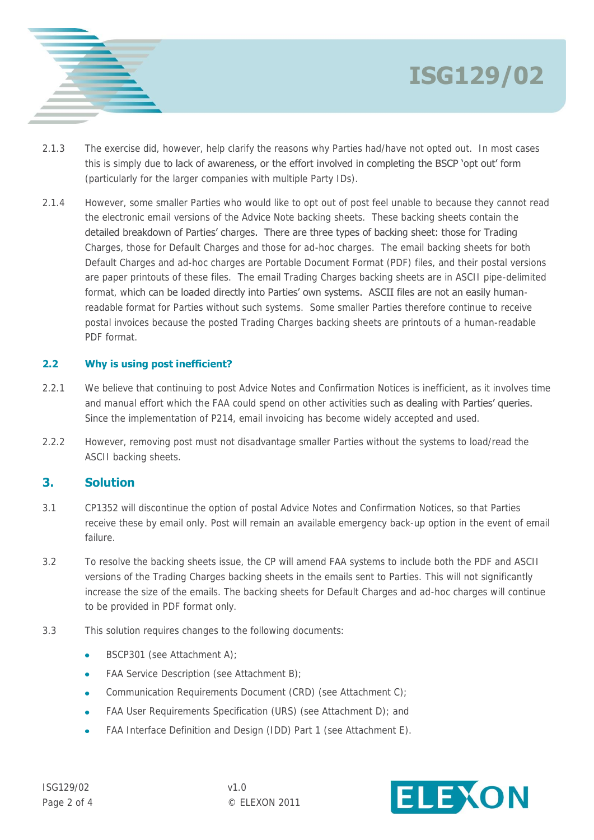



- 2.1.3 The exercise did, however, help clarify the reasons why Parties had/have not opted out. In most cases this is simply due to lack of awareness, or the effort involved in completing the BSCP 'opt out' form (particularly for the larger companies with multiple Party IDs).
- 2.1.4 However, some smaller Parties who would like to opt out of post feel unable to because they cannot read the electronic email versions of the Advice Note backing sheets. These backing sheets contain the detailed breakdown of Parties' charges. There are three types of backing sheet: those for Trading Charges, those for Default Charges and those for ad-hoc charges. The email backing sheets for both Default Charges and ad-hoc charges are Portable Document Format (PDF) files, and their postal versions are paper printouts of these files. The email Trading Charges backing sheets are in ASCII pipe-delimited format, which can be loaded directly into Parties' own systems. ASCII files are not an easily humanreadable format for Parties without such systems. Some smaller Parties therefore continue to receive postal invoices because the posted Trading Charges backing sheets are printouts of a human-readable PDF format.

#### **2.2 Why is using post inefficient?**

- 2.2.1 We believe that continuing to post Advice Notes and Confirmation Notices is inefficient, as it involves time and manual effort which the FAA could spend on other activities such as dealing with Parties' queries. Since the implementation of P214, email invoicing has become widely accepted and used.
- 2.2.2 However, removing post must not disadvantage smaller Parties without the systems to load/read the ASCII backing sheets.

#### **3. Solution**

- 3.1 CP1352 will discontinue the option of postal Advice Notes and Confirmation Notices, so that Parties receive these by email only. Post will remain an available emergency back-up option in the event of email failure.
- 3.2 To resolve the backing sheets issue, the CP will amend FAA systems to include both the PDF and ASCII versions of the Trading Charges backing sheets in the emails sent to Parties. This will not significantly increase the size of the emails. The backing sheets for Default Charges and ad-hoc charges will continue to be provided in PDF format only.
- 3.3 This solution requires changes to the following documents:
	- BSCP301 (see Attachment A); ä
	- FAA Service Description (see Attachment B);
	- Communication Requirements Document (CRD) (see Attachment C);  $\bullet$
	- FAA User Requirements Specification (URS) (see Attachment D); and  $\bullet$
	- FAA Interface Definition and Design (IDD) Part 1 (see Attachment E).

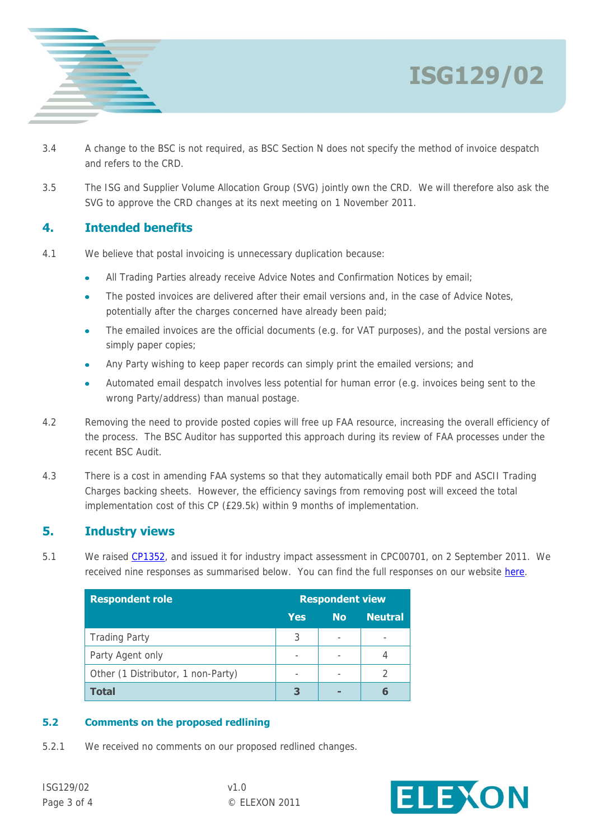

- 3.4 A change to the BSC is not required, as BSC Section N does not specify the method of invoice despatch and refers to the CRD.
- 3.5 The ISG and Supplier Volume Allocation Group (SVG) jointly own the CRD. We will therefore also ask the SVG to approve the CRD changes at its next meeting on 1 November 2011.

#### **4. Intended benefits**

- 4.1 We believe that postal invoicing is unnecessary duplication because:
	- All Trading Parties already receive Advice Notes and Confirmation Notices by email;
	- The posted invoices are delivered after their email versions and, in the case of Advice Notes, potentially after the charges concerned have already been paid;
	- The emailed invoices are the official documents (e.g. for VAT purposes), and the postal versions are simply paper copies;
	- Any Party wishing to keep paper records can simply print the emailed versions; and
	- Automated email despatch involves less potential for human error (e.g. invoices being sent to the wrong Party/address) than manual postage.
- 4.2 Removing the need to provide posted copies will free up FAA resource, increasing the overall efficiency of the process. The BSC Auditor has supported this approach during its review of FAA processes under the recent BSC Audit.
- 4.3 There is a cost in amending FAA systems so that they automatically email both PDF and ASCII Trading Charges backing sheets. However, the efficiency savings from removing post will exceed the total implementation cost of this CP (£29.5k) within 9 months of implementation.

#### **5. Industry views**

5.1 We raised [CP1352,](http://www.elexon.co.uk/Pages/CP1352.aspx) and issued it for industry impact assessment in CPC00701, on 2 September 2011. We received nine responses as summarised below. You can find the full responses on our website [here.](http://www.elexon.co.uk/Pages/CP1352.aspx)

| <b>Respondent role</b>             | <b>Respondent view</b> |           |                |  |  |
|------------------------------------|------------------------|-----------|----------------|--|--|
|                                    | Yes                    | <b>No</b> | <b>Neutral</b> |  |  |
| <b>Trading Party</b>               | 3                      |           | -              |  |  |
| Party Agent only                   |                        |           |                |  |  |
| Other (1 Distributor, 1 non-Party) |                        |           |                |  |  |
| <b>Total</b>                       | З                      |           |                |  |  |

#### **5.2 Comments on the proposed redlining**

5.2.1 We received no comments on our proposed redlined changes.



**ISG129/02**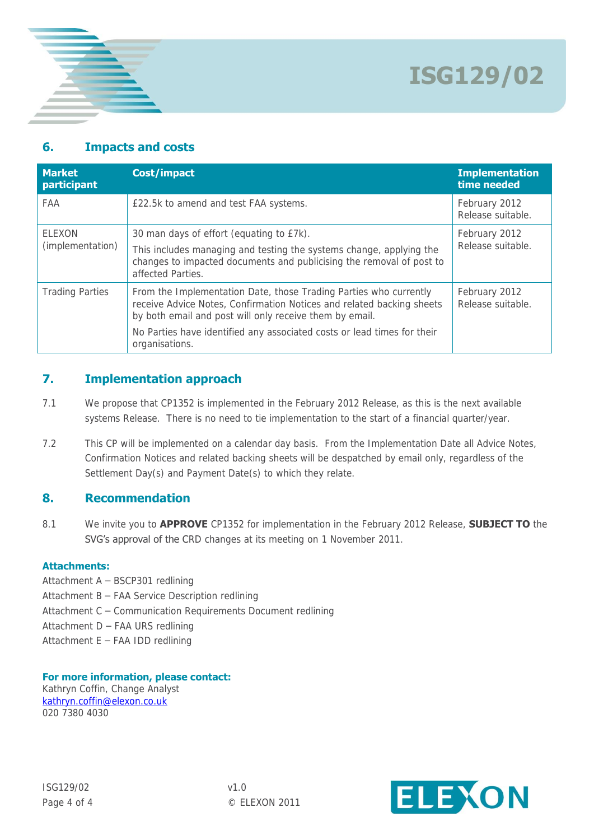

# **6. Impacts and costs**

| <b>Market</b><br>participant | <b>Cost/impact</b>                                                                                                                                                                                    | <b>Implementation</b><br>time needed |
|------------------------------|-------------------------------------------------------------------------------------------------------------------------------------------------------------------------------------------------------|--------------------------------------|
| FAA                          | £22.5k to amend and test FAA systems.                                                                                                                                                                 | February 2012<br>Release suitable.   |
| ELEXON                       | 30 man days of effort (equating to £7k).                                                                                                                                                              | February 2012                        |
| (implementation)             | This includes managing and testing the systems change, applying the<br>changes to impacted documents and publicising the removal of post to<br>affected Parties.                                      | Release suitable.                    |
| <b>Trading Parties</b>       | From the Implementation Date, those Trading Parties who currently<br>receive Advice Notes, Confirmation Notices and related backing sheets<br>by both email and post will only receive them by email. | February 2012<br>Release suitable.   |
|                              | No Parties have identified any associated costs or lead times for their<br>organisations.                                                                                                             |                                      |

#### **7. Implementation approach**

- 7.1 We propose that CP1352 is implemented in the February 2012 Release, as this is the next available systems Release. There is no need to tie implementation to the start of a financial quarter/year.
- 7.2 This CP will be implemented on a calendar day basis. From the Implementation Date all Advice Notes, Confirmation Notices and related backing sheets will be despatched by email only, regardless of the Settlement Day(s) and Payment Date(s) to which they relate.

### **8. Recommendation**

8.1 We invite you to **APPROVE** CP1352 for implementation in the February 2012 Release, **SUBJECT TO** the SVG's approval of the CRD changes at its meeting on 1 November 2011.

#### **Attachments:**

- Attachment A BSCP301 redlining
- Attachment B FAA Service Description redlining
- Attachment C Communication Requirements Document redlining
- Attachment D FAA URS redlining
- Attachment E FAA IDD redlining

#### **For more information, please contact:** Kathryn Coffin, Change Analyst

[kathryn.coffin@elexon.co.uk](mailto:kathryn.coffin@elexon.co.uk) 020 7380 4030

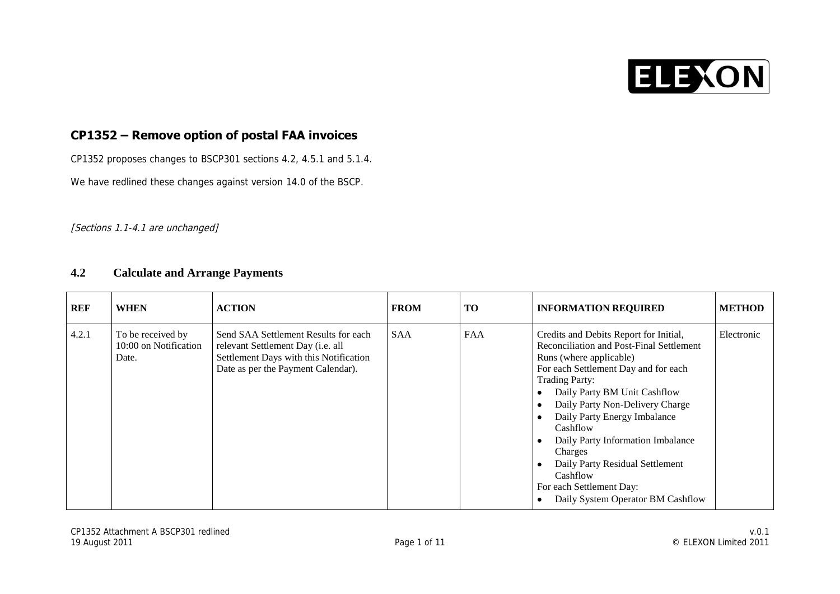

### **CP1352 – Remove option of postal FAA invoices**

CP1352 proposes changes to BSCP301 sections 4.2, 4.5.1 and 5.1.4.

We have redlined these changes against version 14.0 of the BSCP.

#### [Sections 1.1-4.1 are unchanged]

#### **4.2 Calculate and Arrange Payments**

| <b>REF</b> | <b>WHEN</b>                                         | <b>ACTION</b>                                                                                                                                             | <b>FROM</b> | <b>TO</b>  | <b>INFORMATION REQUIRED</b>                                                                                                                                                                                                                                                                                                                                                                                                                                   | <b>METHOD</b> |
|------------|-----------------------------------------------------|-----------------------------------------------------------------------------------------------------------------------------------------------------------|-------------|------------|---------------------------------------------------------------------------------------------------------------------------------------------------------------------------------------------------------------------------------------------------------------------------------------------------------------------------------------------------------------------------------------------------------------------------------------------------------------|---------------|
| 4.2.1      | To be received by<br>10:00 on Notification<br>Date. | Send SAA Settlement Results for each<br>relevant Settlement Day (i.e. all<br>Settlement Days with this Notification<br>Date as per the Payment Calendar). | <b>SAA</b>  | <b>FAA</b> | Credits and Debits Report for Initial,<br>Reconciliation and Post-Final Settlement<br>Runs (where applicable)<br>For each Settlement Day and for each<br><b>Trading Party:</b><br>Daily Party BM Unit Cashflow<br>Daily Party Non-Delivery Charge<br>Daily Party Energy Imbalance<br>Cashflow<br>Daily Party Information Imbalance<br>Charges<br>Daily Party Residual Settlement<br>Cashflow<br>For each Settlement Day:<br>Daily System Operator BM Cashflow | Electronic    |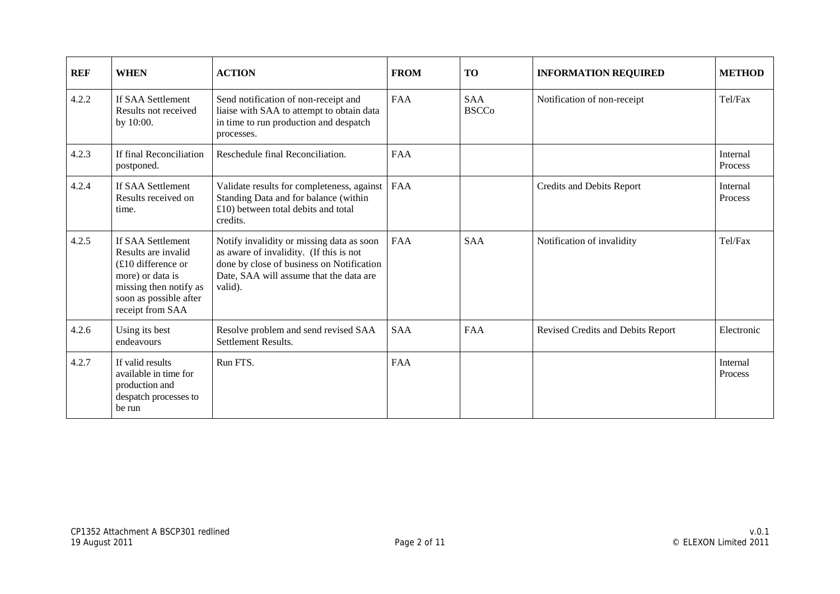| <b>REF</b> | <b>WHEN</b>                                                                                                                                                  | <b>ACTION</b>                                                                                                                                                                           | <b>FROM</b> | <b>TO</b>                  | <b>INFORMATION REQUIRED</b>       | <b>METHOD</b>       |
|------------|--------------------------------------------------------------------------------------------------------------------------------------------------------------|-----------------------------------------------------------------------------------------------------------------------------------------------------------------------------------------|-------------|----------------------------|-----------------------------------|---------------------|
| 4.2.2      | If SAA Settlement<br>Results not received<br>by 10:00.                                                                                                       | Send notification of non-receipt and<br>liaise with SAA to attempt to obtain data<br>in time to run production and despatch<br>processes.                                               | <b>FAA</b>  | <b>SAA</b><br><b>BSCCo</b> | Notification of non-receipt       | Tel/Fax             |
| 4.2.3      | If final Reconciliation<br>postponed.                                                                                                                        | Reschedule final Reconciliation.                                                                                                                                                        | <b>FAA</b>  |                            |                                   | Internal<br>Process |
| 4.2.4      | If SAA Settlement<br>Results received on<br>time.                                                                                                            | Validate results for completeness, against   FAA<br>Standing Data and for balance (within<br>£10) between total debits and total<br>credits.                                            |             |                            | <b>Credits and Debits Report</b>  | Internal<br>Process |
| 4.2.5      | If SAA Settlement<br>Results are invalid<br>$(E10$ difference or<br>more) or data is<br>missing then notify as<br>soon as possible after<br>receipt from SAA | Notify invalidity or missing data as soon<br>as aware of invalidity. (If this is not<br>done by close of business on Notification<br>Date, SAA will assume that the data are<br>valid). | <b>FAA</b>  | <b>SAA</b>                 | Notification of invalidity        | Tel/Fax             |
| 4.2.6      | Using its best<br>endeavours                                                                                                                                 | Resolve problem and send revised SAA<br>Settlement Results.                                                                                                                             | <b>SAA</b>  | FAA                        | Revised Credits and Debits Report | Electronic          |
| 4.2.7      | If valid results<br>available in time for<br>production and<br>despatch processes to<br>be run                                                               | Run FTS.                                                                                                                                                                                | <b>FAA</b>  |                            |                                   | Internal<br>Process |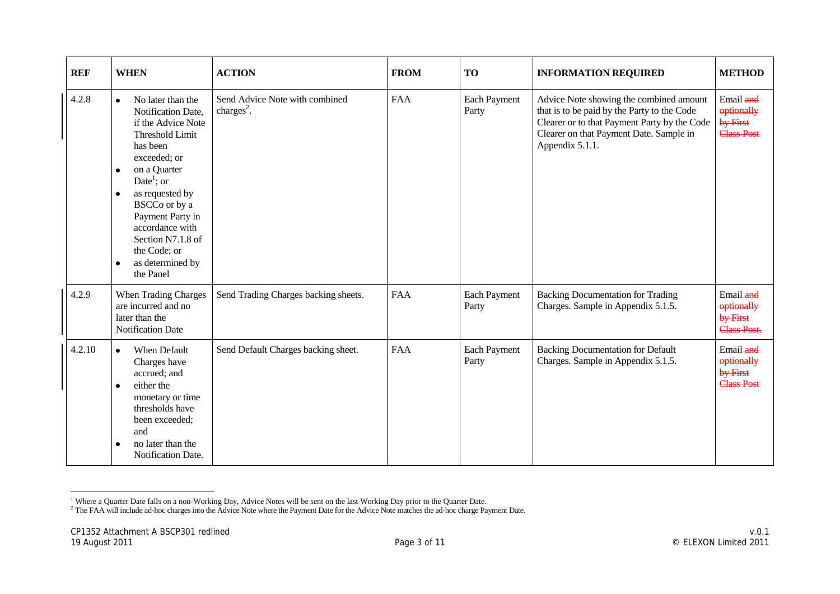| <b>REF</b> | <b>WHEN</b>                                                                                                                                                                                                                                                                                                                 | <b>ACTION</b>                                            | <b>FROM</b> | <b>TO</b>             | <b>INFORMATION REQUIRED</b>                                                                                                                                                                          | <b>METHOD</b>                                             |
|------------|-----------------------------------------------------------------------------------------------------------------------------------------------------------------------------------------------------------------------------------------------------------------------------------------------------------------------------|----------------------------------------------------------|-------------|-----------------------|------------------------------------------------------------------------------------------------------------------------------------------------------------------------------------------------------|-----------------------------------------------------------|
| 4.2.8      | No later than the<br>$\bullet$<br>Notification Date,<br>if the Advice Note<br><b>Threshold Limit</b><br>has been<br>exceeded; or<br>on a Quarter<br>Date <sup>1</sup> ; or<br>as requested by<br>BSCCo or by a<br>Payment Party in<br>accordance with<br>Section N7.1.8 of<br>the Code; or<br>as determined by<br>the Panel | Send Advice Note with combined<br>charges <sup>2</sup> . | <b>FAA</b>  | Each Payment<br>Party | Advice Note showing the combined amount<br>that is to be paid by the Party to the Code<br>Clearer or to that Payment Party by the Code<br>Clearer on that Payment Date. Sample in<br>Appendix 5.1.1. | Email and<br>optionally<br>by First<br><b>Class Post</b>  |
| 4.2.9      | <b>When Trading Charges</b><br>are incurred and no<br>later than the<br><b>Notification Date</b>                                                                                                                                                                                                                            | Send Trading Charges backing sheets.                     | <b>FAA</b>  | Each Payment<br>Party | <b>Backing Documentation for Trading</b><br>Charges. Sample in Appendix 5.1.5.                                                                                                                       | Email and<br>optionally<br>by First<br><b>Class Post.</b> |
| 4.2.10     | When Default<br>$\bullet$<br>Charges have<br>accrued; and<br>either the<br>$\bullet$<br>monetary or time<br>thresholds have<br>been exceeded;<br>and<br>no later than the<br>Notification Date.                                                                                                                             | Send Default Charges backing sheet.                      | <b>FAA</b>  | Each Payment<br>Party | <b>Backing Documentation for Default</b><br>Charges. Sample in Appendix 5.1.5.                                                                                                                       | Email and<br>optionally<br>by First<br><b>Class Post</b>  |

 <sup>1</sup> Where a Quarter Date falls on a non-Working Day, Advice Notes will be sent on the last Working Day prior to the Quarter Date.

 $<sup>2</sup>$  The FAA will include ad-hoc charges into the Advice Note where the Payment Date for the Advice Note matches the ad-hoc charge Payment Date.</sup>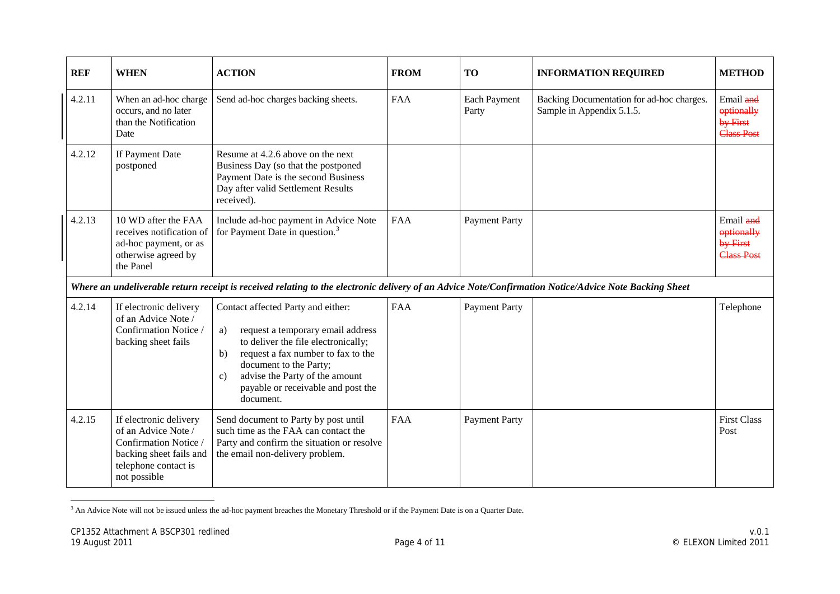| <b>REF</b> | <b>WHEN</b>                                                                                                                               | <b>ACTION</b>                                                                                                                                                                                                                                                                                      | <b>FROM</b> | <b>TO</b>                    | <b>INFORMATION REQUIRED</b>                                            | <b>METHOD</b>                                            |
|------------|-------------------------------------------------------------------------------------------------------------------------------------------|----------------------------------------------------------------------------------------------------------------------------------------------------------------------------------------------------------------------------------------------------------------------------------------------------|-------------|------------------------------|------------------------------------------------------------------------|----------------------------------------------------------|
| 4.2.11     | When an ad-hoc charge<br>occurs, and no later<br>than the Notification<br>Date                                                            | Send ad-hoc charges backing sheets.                                                                                                                                                                                                                                                                | FAA         | <b>Each Payment</b><br>Party | Backing Documentation for ad-hoc charges.<br>Sample in Appendix 5.1.5. | Email and<br>optionally<br>by First<br><b>Class Post</b> |
| 4.2.12     | If Payment Date<br>postponed                                                                                                              | Resume at 4.2.6 above on the next<br>Business Day (so that the postponed<br>Payment Date is the second Business<br>Day after valid Settlement Results<br>received).                                                                                                                                |             |                              |                                                                        |                                                          |
| 4.2.13     | 10 WD after the FAA<br>receives notification of<br>ad-hoc payment, or as<br>otherwise agreed by<br>the Panel                              | Include ad-hoc payment in Advice Note<br>for Payment Date in question. <sup>3</sup>                                                                                                                                                                                                                | <b>FAA</b>  | <b>Payment Party</b>         |                                                                        | Email and<br>optionally<br>by First<br><b>Class Post</b> |
|            |                                                                                                                                           | Where an undeliverable return receipt is received relating to the electronic delivery of an Advice Note/Confirmation Notice/Advice Note Backing Sheet                                                                                                                                              |             |                              |                                                                        |                                                          |
| 4.2.14     | If electronic delivery<br>of an Advice Note /<br>Confirmation Notice<br>backing sheet fails                                               | Contact affected Party and either:<br>request a temporary email address<br>a)<br>to deliver the file electronically;<br>request a fax number to fax to the<br>b)<br>document to the Party;<br>advise the Party of the amount<br>$\mathcal{C}$ )<br>payable or receivable and post the<br>document. | <b>FAA</b>  | <b>Payment Party</b>         |                                                                        | Telephone                                                |
| 4.2.15     | If electronic delivery<br>of an Advice Note /<br>Confirmation Notice /<br>backing sheet fails and<br>telephone contact is<br>not possible | Send document to Party by post until<br>such time as the FAA can contact the<br>Party and confirm the situation or resolve<br>the email non-delivery problem.                                                                                                                                      | <b>FAA</b>  | <b>Payment Party</b>         |                                                                        | <b>First Class</b><br>Post                               |

-<sup>3</sup> An Advice Note will not be issued unless the ad-hoc payment breaches the Monetary Threshold or if the Payment Date is on a Quarter Date.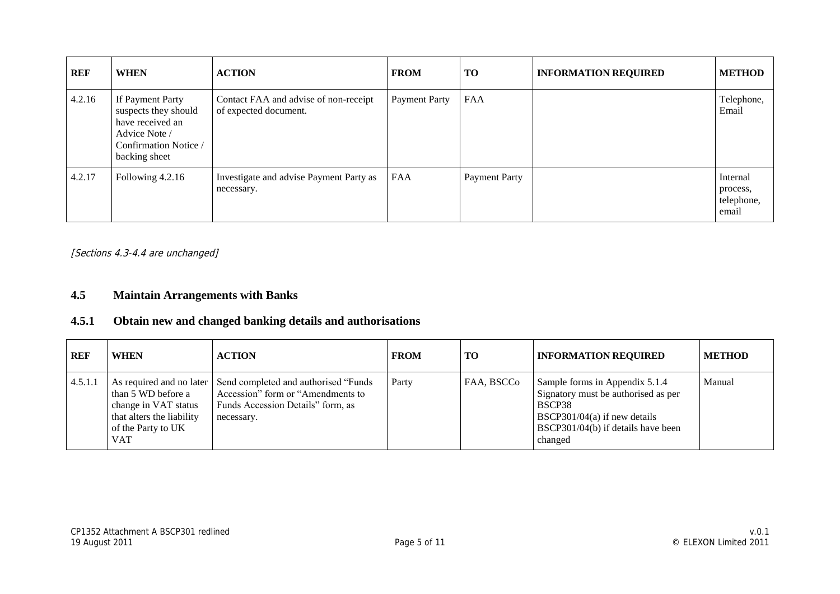| REF    | <b>WHEN</b>                                                                                                             | <b>ACTION</b>                                                  | <b>FROM</b>   | <b>TO</b>     | <b>INFORMATION REQUIRED</b> | <b>METHOD</b>                               |
|--------|-------------------------------------------------------------------------------------------------------------------------|----------------------------------------------------------------|---------------|---------------|-----------------------------|---------------------------------------------|
| 4.2.16 | If Payment Party<br>suspects they should<br>have received an<br>Advice Note /<br>Confirmation Notice /<br>backing sheet | Contact FAA and advise of non-receipt<br>of expected document. | Payment Party | <b>FAA</b>    |                             | Telephone,<br>Email                         |
| 4.2.17 | Following 4.2.16                                                                                                        | Investigate and advise Payment Party as<br>necessary.          | FAA           | Payment Party |                             | Internal<br>process,<br>telephone,<br>email |

[Sections 4.3-4.4 are unchanged]

#### **4.5 Maintain Arrangements with Banks**

#### **4.5.1 Obtain new and changed banking details and authorisations**

| <b>REF</b> | <b>WHEN</b>                                                                                          | <b>ACTION</b>                                                                                                                                          | <b>FROM</b> | TО         | <b>INFORMATION REQUIRED</b>                                                                                                                                      | <b>METHOD</b> |
|------------|------------------------------------------------------------------------------------------------------|--------------------------------------------------------------------------------------------------------------------------------------------------------|-------------|------------|------------------------------------------------------------------------------------------------------------------------------------------------------------------|---------------|
| 4.5.1.1    | than 5 WD before a<br>change in VAT status<br>that alters the liability<br>of the Party to UK<br>VAT | As required and no later Send completed and authorised "Funds"<br>Accession" form or "Amendments to<br>Funds Accession Details" form, as<br>necessary. | Party       | FAA, BSCCo | Sample forms in Appendix 5.1.4<br>Signatory must be authorised as per<br>BSCP38<br>BSCP301/04(a) if new details<br>BSCP301/04(b) if details have been<br>changed | Manual        |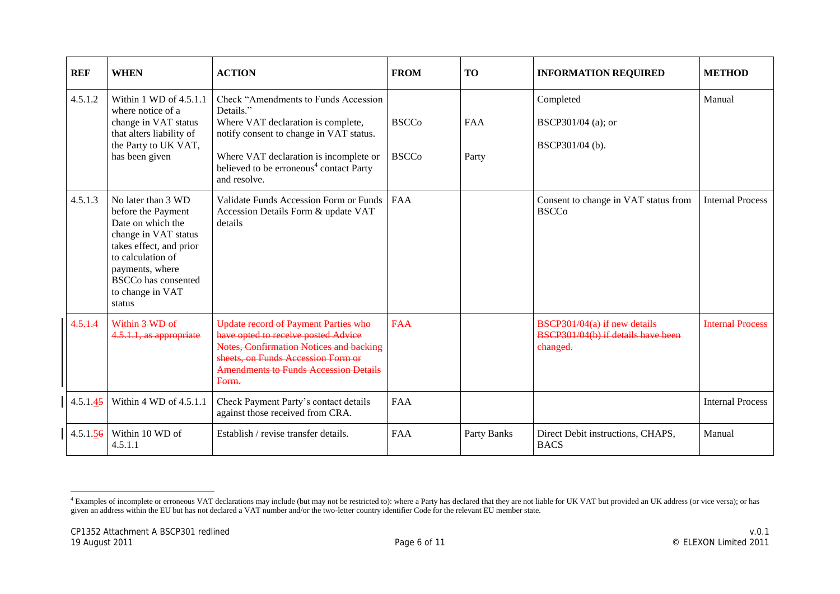| <b>REF</b> | <b>WHEN</b>                                                                                                                                                                                                          | <b>ACTION</b>                                                                                                                                                                                                                                        | <b>FROM</b>                  | <b>TO</b>           | <b>INFORMATION REQUIRED</b>                                                      | <b>METHOD</b>           |
|------------|----------------------------------------------------------------------------------------------------------------------------------------------------------------------------------------------------------------------|------------------------------------------------------------------------------------------------------------------------------------------------------------------------------------------------------------------------------------------------------|------------------------------|---------------------|----------------------------------------------------------------------------------|-------------------------|
| 4.5.1.2    | Within 1 WD of 4.5.1.1<br>where notice of a<br>change in VAT status<br>that alters liability of<br>the Party to UK VAT,<br>has been given                                                                            | Check "Amendments to Funds Accession"<br>Details."<br>Where VAT declaration is complete,<br>notify consent to change in VAT status.<br>Where VAT declaration is incomplete or<br>believed to be erroneous <sup>4</sup> contact Party<br>and resolve. | <b>BSCCo</b><br><b>BSCCo</b> | <b>FAA</b><br>Party | Completed<br>BSCP301/04 (a); or<br>BSCP301/04 (b).                               | Manual                  |
| 4.5.1.3    | No later than 3 WD<br>before the Payment<br>Date on which the<br>change in VAT status<br>takes effect, and prior<br>to calculation of<br>payments, where<br><b>BSCCo</b> has consented<br>to change in VAT<br>status | Validate Funds Accession Form or Funds<br>Accession Details Form & update VAT<br>details                                                                                                                                                             | <b>FAA</b>                   |                     | Consent to change in VAT status from<br><b>BSCCo</b>                             | <b>Internal Process</b> |
| 4.5.1.4    | Within 3 WD of<br>4.5.1.1, as appropriate                                                                                                                                                                            | Update record of Payment Parties who<br>have opted to receive posted Advice<br>Notes, Confirmation Notices and backing<br>sheets, on Funds Accession Form or<br><b>Amendments to Funds Accession Details</b><br>Form.                                | <b>FAA</b>                   |                     | $BSCP301/04(a)$ if new details<br>BSCP301/04(b) if details have been<br>changed. | <b>Internal Process</b> |
| 4.5.1.45   | Within 4 WD of 4.5.1.1                                                                                                                                                                                               | Check Payment Party's contact details<br>against those received from CRA.                                                                                                                                                                            | <b>FAA</b>                   |                     |                                                                                  | <b>Internal Process</b> |
| 4.5.1.56   | Within 10 WD of<br>4.5.1.1                                                                                                                                                                                           | Establish / revise transfer details.                                                                                                                                                                                                                 | FAA                          | Party Banks         | Direct Debit instructions, CHAPS,<br><b>BACS</b>                                 | Manual                  |

  $4$  Examples of incomplete or erroneous VAT declarations may include (but may not be restricted to): where a Party has declared that they are not liable for UK VAT but provided an UK address (or vice versa); or has given an address within the EU but has not declared a VAT number and/or the two-letter country identifier Code for the relevant EU member state.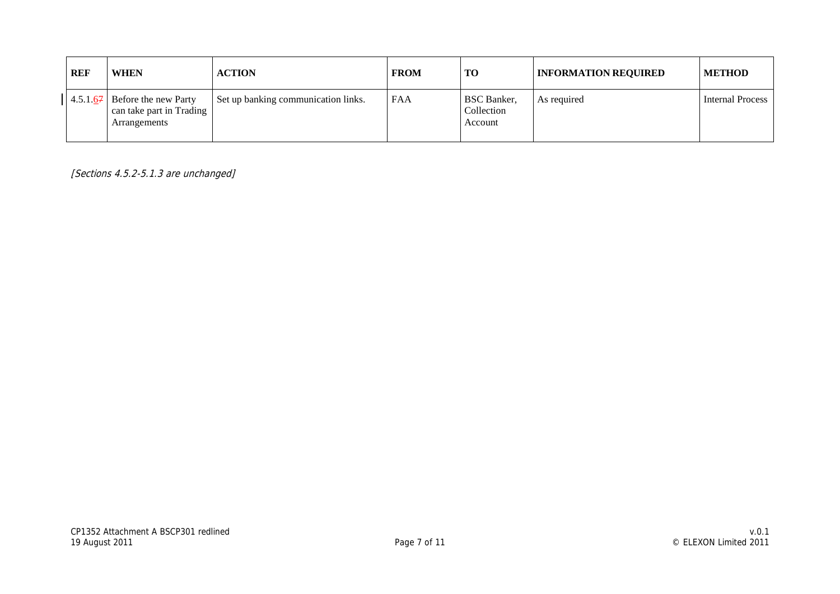| <b>REF</b> |          | <b>WHEN</b>                                                      | <b>ACTION</b>                       | <b>FROM</b> | <b>TO</b>                                   | <b>INFORMATION REQUIRED</b> | <b>METHOD</b>    |
|------------|----------|------------------------------------------------------------------|-------------------------------------|-------------|---------------------------------------------|-----------------------------|------------------|
|            | 4.5.1.67 | Before the new Party<br>can take part in Trading<br>Arrangements | Set up banking communication links. | <b>FAA</b>  | <b>BSC</b> Banker,<br>Collection<br>Account | As required                 | Internal Process |

[Sections 4.5.2-5.1.3 are unchanged]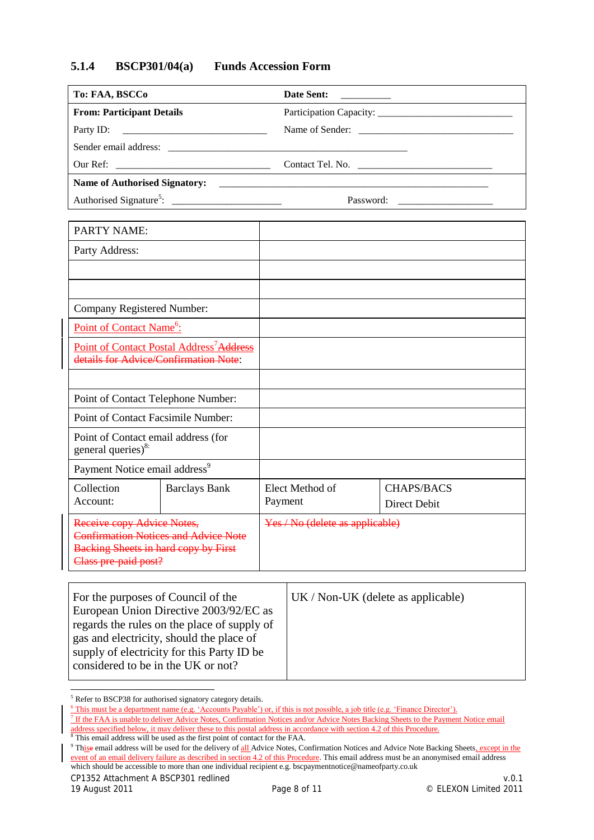#### **5.1.4 BSCP301/04(a) Funds Accession Form**

| Date Sent:       |
|------------------|
|                  |
|                  |
|                  |
| Contact Tel. No. |
|                  |
| Password:        |
|                  |

<span id="page-11-1"></span><span id="page-11-0"></span>

| <b>PARTY NAME:</b>                                                                                                                               |                                    |                                 |                                   |
|--------------------------------------------------------------------------------------------------------------------------------------------------|------------------------------------|---------------------------------|-----------------------------------|
| Party Address:                                                                                                                                   |                                    |                                 |                                   |
|                                                                                                                                                  |                                    |                                 |                                   |
|                                                                                                                                                  |                                    |                                 |                                   |
| Company Registered Number:                                                                                                                       |                                    |                                 |                                   |
| Point of Contact Name <sup>6</sup> :                                                                                                             |                                    |                                 |                                   |
| Point of Contact Postal Address <sup>7</sup> Address<br>details for Advice/Confirmation Note:                                                    |                                    |                                 |                                   |
|                                                                                                                                                  |                                    |                                 |                                   |
| Point of Contact Telephone Number:                                                                                                               |                                    |                                 |                                   |
|                                                                                                                                                  | Point of Contact Facsimile Number: |                                 |                                   |
| Point of Contact email address (for<br>general queries) $8$ :                                                                                    |                                    |                                 |                                   |
| Payment Notice email address <sup>9</sup>                                                                                                        |                                    |                                 |                                   |
| Collection<br><b>Barclays Bank</b><br>Account:                                                                                                   |                                    | Elect Method of<br>Payment      | <b>CHAPS/BACS</b><br>Direct Debit |
| Receive copy Advice Notes,<br><b>Confirmation Notices and Advice Note</b><br><b>Backing Sheets in hard copy by First</b><br>Class pre-paid post? |                                    | Yes / No (delete as applicable) |                                   |

<span id="page-11-3"></span><span id="page-11-2"></span>

| For the purposes of Council of the          | $UK / Non-UK$ (delete as applicable) |
|---------------------------------------------|--------------------------------------|
| European Union Directive 2003/92/EC as      |                                      |
| regards the rules on the place of supply of |                                      |
| gas and electricity, should the place of    |                                      |
| supply of electricity for this Party ID be  |                                      |
| considered to be in the UK or not?          |                                      |
|                                             |                                      |

CP1352 Attachment A BSCP301 redlined v.0.1

<sup>&</sup>lt;sup>5</sup> Refer to BSCP38 for authorised signatory category details.

<sup>&</sup>lt;sup>6</sup> This must be a department name (e.g. 'Accounts Payable') or, if this is not possible, a job title (e.g. 'Finance Director').

<sup>&</sup>lt;sup>7</sup> If the FAA is unable to deliver Advice Notes, Confirmation Notices and/or Advice Notes Backing Sheets to the Payment Notice email address specified below, it may deliver these to this postal address in accordance with section 4.2 of this Procedure.  $8$  This email address will be used as the first point of contact for the FAA.

<sup>&</sup>lt;sup>9</sup> Thise email address will be used for the delivery of all Advice Notes, Confirmation Notices and Advice Note Backing Sheets, except in the event of an email delivery failure as described in section 4.2 of this Procedure. This email address must be an anonymised email address which should be accessible to more than one individual recipient e.g. bscpaymentnotice@nameofparty.co.uk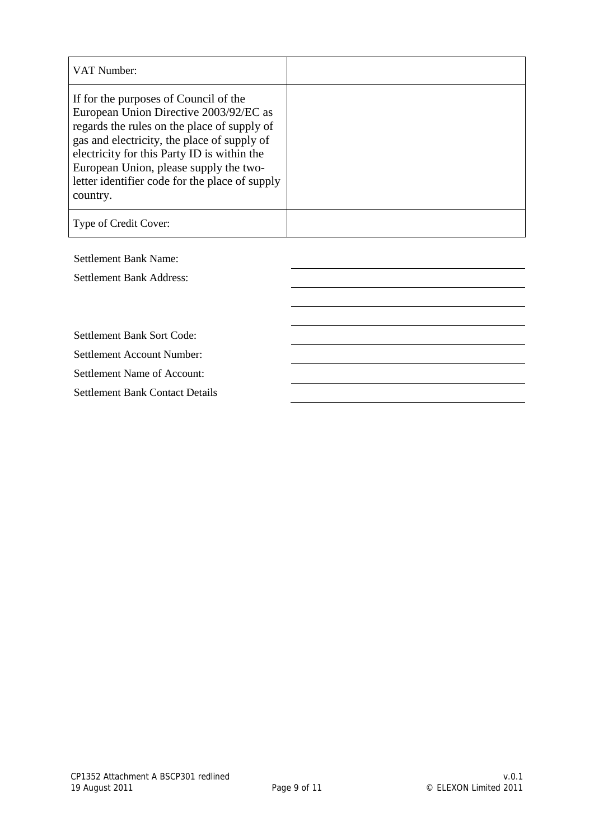| VAT Number:                                                                                                                                                                                                                                                                                                                          |  |
|--------------------------------------------------------------------------------------------------------------------------------------------------------------------------------------------------------------------------------------------------------------------------------------------------------------------------------------|--|
| If for the purposes of Council of the<br>European Union Directive 2003/92/EC as<br>regards the rules on the place of supply of<br>gas and electricity, the place of supply of<br>electricity for this Party ID is within the<br>European Union, please supply the two-<br>letter identifier code for the place of supply<br>country. |  |
| Type of Credit Cover:                                                                                                                                                                                                                                                                                                                |  |

Settlement Bank Name:

Settlement Bank Address:

Settlement Bank Sort Code:

Settlement Account Number:

Settlement Name of Account:

Settlement Bank Contact Details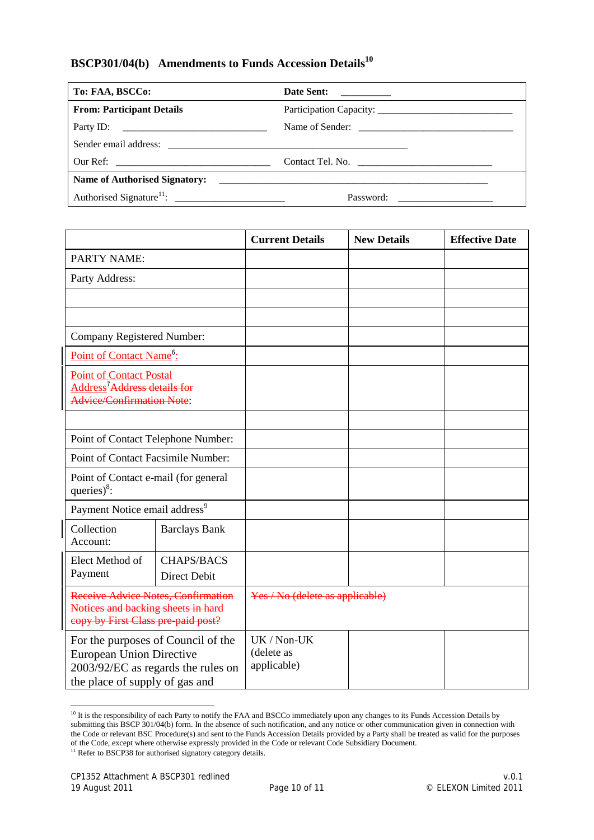## **BSCP301/04(b) Amendments to Funds Accession Details<sup>10</sup>**

| To: FAA, BSCCo:                  |  |
|----------------------------------|--|
| <b>From: Participant Details</b> |  |
|                                  |  |
|                                  |  |
|                                  |  |
|                                  |  |
| Password:                        |  |

|                                                                                                                                               |                                      | <b>Current Details</b>                   | <b>New Details</b> | <b>Effective Date</b> |
|-----------------------------------------------------------------------------------------------------------------------------------------------|--------------------------------------|------------------------------------------|--------------------|-----------------------|
| <b>PARTY NAME:</b>                                                                                                                            |                                      |                                          |                    |                       |
| Party Address:                                                                                                                                |                                      |                                          |                    |                       |
|                                                                                                                                               |                                      |                                          |                    |                       |
|                                                                                                                                               |                                      |                                          |                    |                       |
| Company Registered Number:                                                                                                                    |                                      |                                          |                    |                       |
| Point of Contact Name <sup>6</sup> :                                                                                                          |                                      |                                          |                    |                       |
| <b>Point of Contact Postal</b><br>Address <sup>7</sup> Address details for<br><b>Advice/Confirmation Note:</b>                                |                                      |                                          |                    |                       |
|                                                                                                                                               |                                      |                                          |                    |                       |
| Point of Contact Telephone Number:                                                                                                            |                                      |                                          |                    |                       |
| Point of Contact Facsimile Number:                                                                                                            |                                      |                                          |                    |                       |
| queries $)^8$ :                                                                                                                               | Point of Contact e-mail (for general |                                          |                    |                       |
| Payment Notice email address <sup>9</sup>                                                                                                     |                                      |                                          |                    |                       |
| Collection<br>Account:                                                                                                                        | <b>Barclays Bank</b>                 |                                          |                    |                       |
| Elect Method of<br>Payment                                                                                                                    | <b>CHAPS/BACS</b><br>Direct Debit    |                                          |                    |                       |
| Receive Advice Notes, Confirmation<br>Notices and backing sheets in hard<br>copy by First Class pre-paid post?                                |                                      | Yes / No (delete as applicable)          |                    |                       |
| For the purposes of Council of the<br><b>European Union Directive</b><br>2003/92/EC as regards the rules on<br>the place of supply of gas and |                                      | UK / Non-UK<br>(delete as<br>applicable) |                    |                       |

<sup>-</sup><sup>10</sup> It is the responsibility of each Party to notify the FAA and BSCCo immediately upon any changes to its Funds Accession Details by submitting this BSCP 301/04(b) form. In the absence of such notification, and any notice or other communication given in connection with the Code or relevant BSC Procedure(s) and sent to the Funds Accession Details provided by a Party shall be treated as valid for the purposes of the Code, except where otherwise expressly provided in the Code or relevant Code Subsidiary Document.

<sup>&</sup>lt;sup>11</sup> Refer to BSCP38 for authorised signatory category details.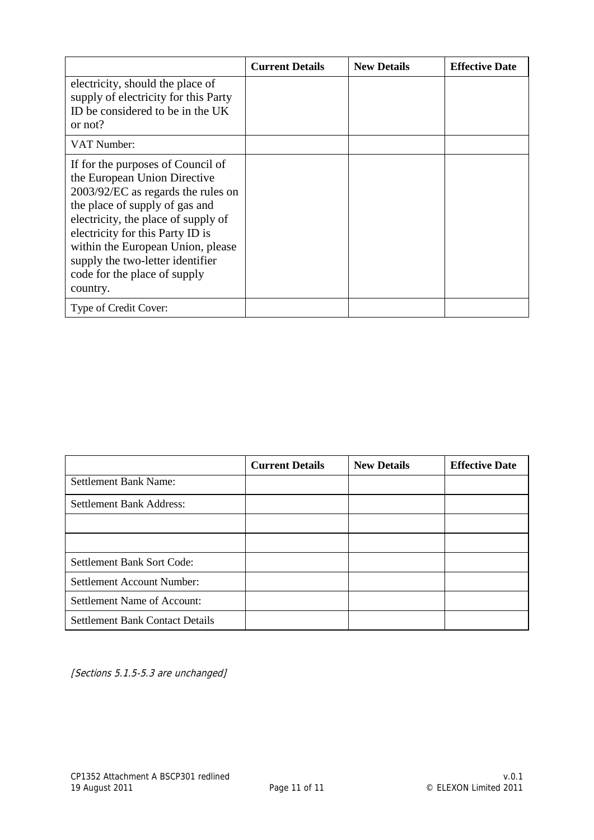|                                                                                                                                                                                                                                                                                                                                           | <b>Current Details</b> | <b>New Details</b> | <b>Effective Date</b> |
|-------------------------------------------------------------------------------------------------------------------------------------------------------------------------------------------------------------------------------------------------------------------------------------------------------------------------------------------|------------------------|--------------------|-----------------------|
| electricity, should the place of<br>supply of electricity for this Party<br>ID be considered to be in the UK<br>or not?                                                                                                                                                                                                                   |                        |                    |                       |
| VAT Number:                                                                                                                                                                                                                                                                                                                               |                        |                    |                       |
| If for the purposes of Council of<br>the European Union Directive<br>2003/92/EC as regards the rules on<br>the place of supply of gas and<br>electricity, the place of supply of<br>electricity for this Party ID is<br>within the European Union, please<br>supply the two-letter identifier<br>code for the place of supply<br>country. |                        |                    |                       |
| Type of Credit Cover:                                                                                                                                                                                                                                                                                                                     |                        |                    |                       |

|                                        | <b>Current Details</b> | <b>New Details</b> | <b>Effective Date</b> |
|----------------------------------------|------------------------|--------------------|-----------------------|
| <b>Settlement Bank Name:</b>           |                        |                    |                       |
| Settlement Bank Address:               |                        |                    |                       |
|                                        |                        |                    |                       |
|                                        |                        |                    |                       |
| Settlement Bank Sort Code:             |                        |                    |                       |
| <b>Settlement Account Number:</b>      |                        |                    |                       |
| Settlement Name of Account:            |                        |                    |                       |
| <b>Settlement Bank Contact Details</b> |                        |                    |                       |

[Sections 5.1.5-5.3 are unchanged]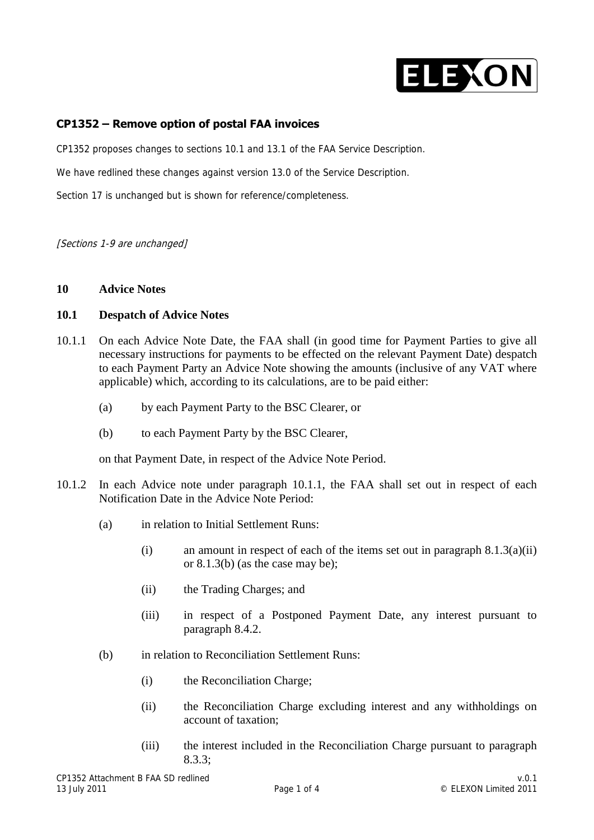

#### **CP1352 – Remove option of postal FAA invoices**

CP1352 proposes changes to sections 10.1 and 13.1 of the FAA Service Description.

We have redlined these changes against version 13.0 of the Service Description.

Section 17 is unchanged but is shown for reference/completeness.

[Sections 1-9 are unchanged]

#### **10 Advice Notes**

#### **10.1 Despatch of Advice Notes**

- 10.1.1 On each Advice Note Date, the FAA shall (in good time for Payment Parties to give all necessary instructions for payments to be effected on the relevant Payment Date) despatch to each Payment Party an Advice Note showing the amounts (inclusive of any VAT where applicable) which, according to its calculations, are to be paid either:
	- (a) by each Payment Party to the BSC Clearer, or
	- (b) to each Payment Party by the BSC Clearer,

on that Payment Date, in respect of the Advice Note Period.

- 10.1.2 In each Advice note under paragraph 10.1.1, the FAA shall set out in respect of each Notification Date in the Advice Note Period:
	- (a) in relation to Initial Settlement Runs:
		- (i) an amount in respect of each of the items set out in paragraph  $8.1.3(a)(ii)$ or 8.1.3(b) (as the case may be);
		- (ii) the Trading Charges; and
		- (iii) in respect of a Postponed Payment Date, any interest pursuant to paragraph 8.4.2.
	- (b) in relation to Reconciliation Settlement Runs:
		- (i) the Reconciliation Charge;
		- (ii) the Reconciliation Charge excluding interest and any withholdings on account of taxation;
		- (iii) the interest included in the Reconciliation Charge pursuant to paragraph 8.3.3;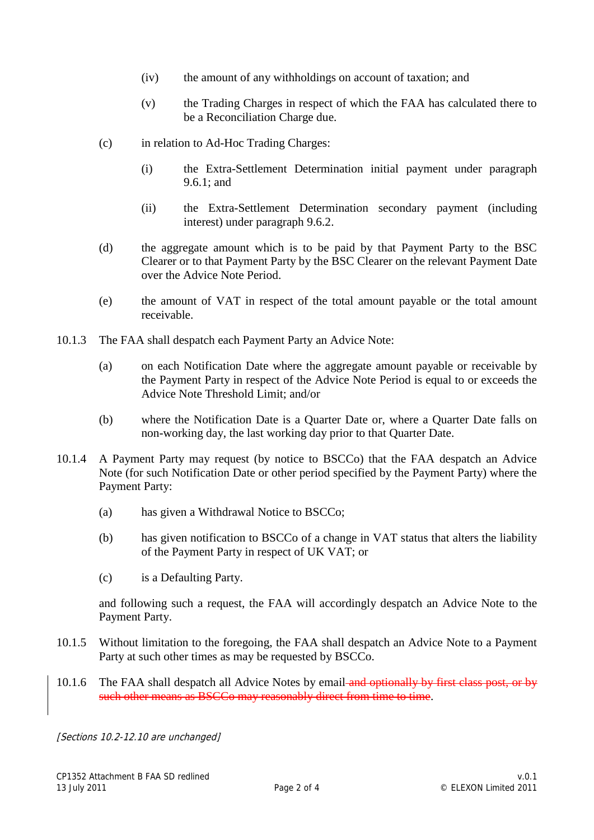- (iv) the amount of any withholdings on account of taxation; and
- (v) the Trading Charges in respect of which the FAA has calculated there to be a Reconciliation Charge due.
- (c) in relation to Ad-Hoc Trading Charges:
	- (i) the Extra-Settlement Determination initial payment under paragraph 9.6.1; and
	- (ii) the Extra-Settlement Determination secondary payment (including interest) under paragraph 9.6.2.
- (d) the aggregate amount which is to be paid by that Payment Party to the BSC Clearer or to that Payment Party by the BSC Clearer on the relevant Payment Date over the Advice Note Period.
- (e) the amount of VAT in respect of the total amount payable or the total amount receivable.
- 10.1.3 The FAA shall despatch each Payment Party an Advice Note:
	- (a) on each Notification Date where the aggregate amount payable or receivable by the Payment Party in respect of the Advice Note Period is equal to or exceeds the Advice Note Threshold Limit; and/or
	- (b) where the Notification Date is a Quarter Date or, where a Quarter Date falls on non-working day, the last working day prior to that Quarter Date.
- 10.1.4 A Payment Party may request (by notice to BSCCo) that the FAA despatch an Advice Note (for such Notification Date or other period specified by the Payment Party) where the Payment Party:
	- (a) has given a Withdrawal Notice to BSCCo;
	- (b) has given notification to BSCCo of a change in VAT status that alters the liability of the Payment Party in respect of UK VAT; or
	- (c) is a Defaulting Party.

and following such a request, the FAA will accordingly despatch an Advice Note to the Payment Party.

- 10.1.5 Without limitation to the foregoing, the FAA shall despatch an Advice Note to a Payment Party at such other times as may be requested by BSCCo.
- 10.1.6 The FAA shall despatch all Advice Notes by email and optionally by first class post, or by such other means as BSCCo may reasonably direct from time to time.

[Sections 10.2-12.10 are unchanged]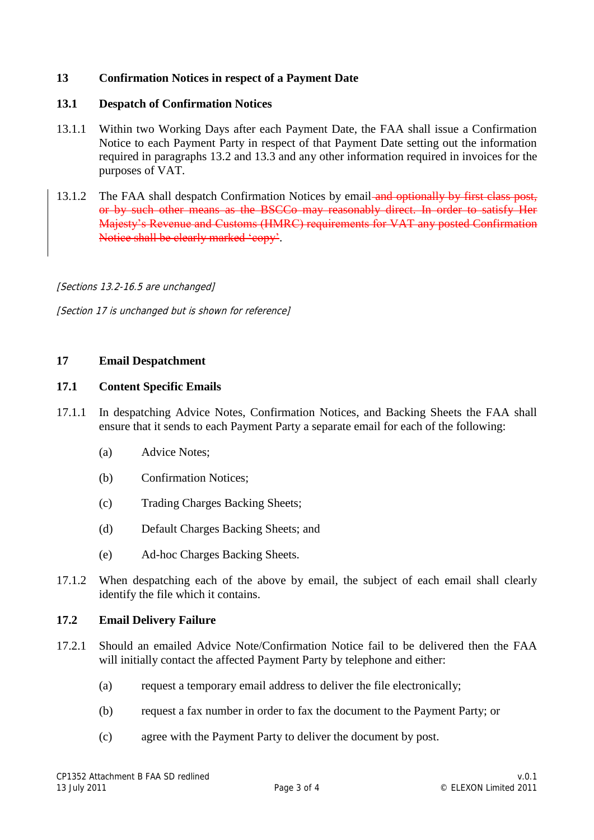#### **13 Confirmation Notices in respect of a Payment Date**

#### **13.1 Despatch of Confirmation Notices**

- 13.1.1 Within two Working Days after each Payment Date, the FAA shall issue a Confirmation Notice to each Payment Party in respect of that Payment Date setting out the information required in paragraphs 13.2 and 13.3 and any other information required in invoices for the purposes of VAT.
- 13.1.2 The FAA shall despatch Confirmation Notices by email-and optionally by first class post, or by such other means as the BSCCo may reasonably direct. In order to satisfy Her Majesty's Revenue and Customs (HMRC) requirements for VAT any posted Confirmation Notice shall be clearly marked 'copy'.

[Sections 13.2-16.5 are unchanged]

[Section 17 is unchanged but is shown for reference]

#### **17 Email Despatchment**

#### **17.1 Content Specific Emails**

- 17.1.1 In despatching Advice Notes, Confirmation Notices, and Backing Sheets the FAA shall ensure that it sends to each Payment Party a separate email for each of the following:
	- (a) Advice Notes;
	- (b) Confirmation Notices;
	- (c) Trading Charges Backing Sheets;
	- (d) Default Charges Backing Sheets; and
	- (e) Ad-hoc Charges Backing Sheets.
- 17.1.2 When despatching each of the above by email, the subject of each email shall clearly identify the file which it contains.

#### **17.2 Email Delivery Failure**

- 17.2.1 Should an emailed Advice Note/Confirmation Notice fail to be delivered then the FAA will initially contact the affected Payment Party by telephone and either:
	- (a) request a temporary email address to deliver the file electronically;
	- (b) request a fax number in order to fax the document to the Payment Party; or
	- (c) agree with the Payment Party to deliver the document by post.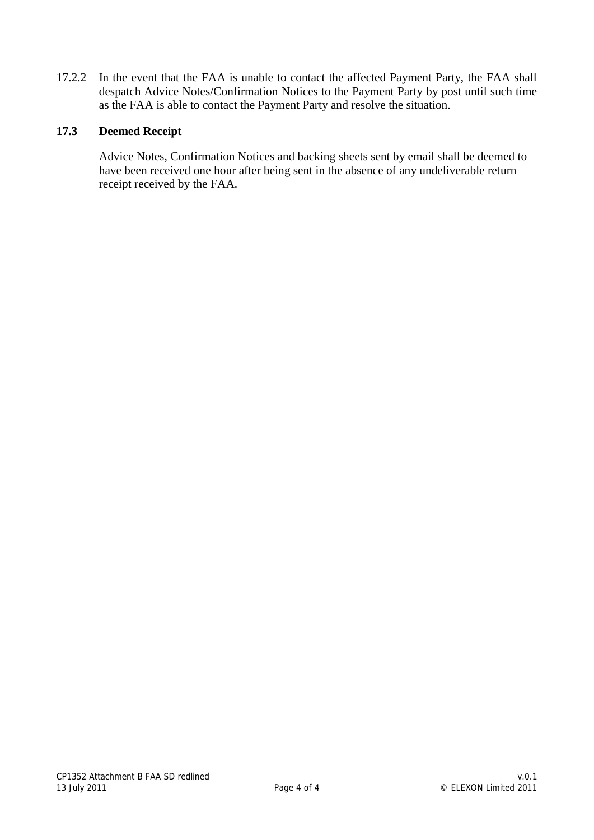17.2.2 In the event that the FAA is unable to contact the affected Payment Party, the FAA shall despatch Advice Notes/Confirmation Notices to the Payment Party by post until such time as the FAA is able to contact the Payment Party and resolve the situation.

#### **17.3 Deemed Receipt**

Advice Notes, Confirmation Notices and backing sheets sent by email shall be deemed to have been received one hour after being sent in the absence of any undeliverable return receipt received by the FAA.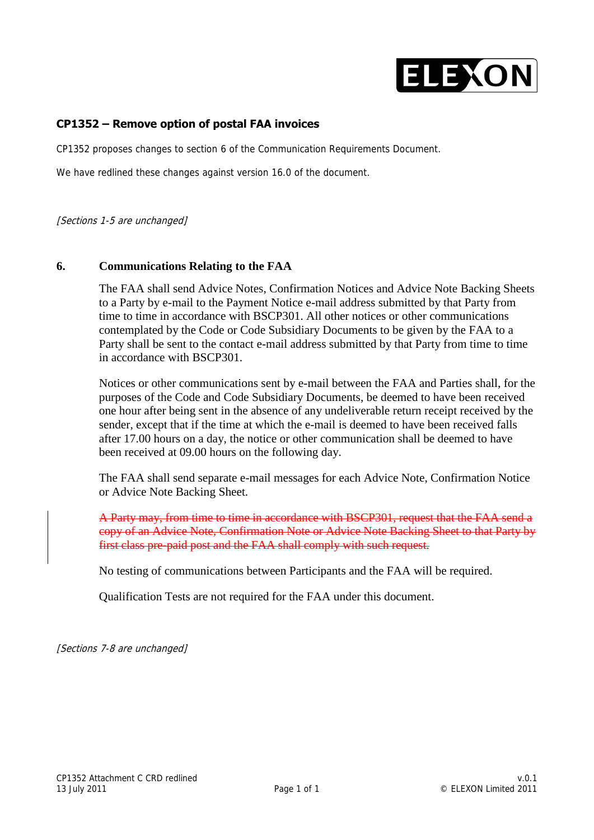

#### **CP1352 – Remove option of postal FAA invoices**

CP1352 proposes changes to section 6 of the Communication Requirements Document.

We have redlined these changes against version 16.0 of the document.

[Sections 1-5 are unchanged]

#### **6. Communications Relating to the FAA**

The FAA shall send Advice Notes, Confirmation Notices and Advice Note Backing Sheets to a Party by e-mail to the Payment Notice e-mail address submitted by that Party from time to time in accordance with BSCP301. All other notices or other communications contemplated by the Code or Code Subsidiary Documents to be given by the FAA to a Party shall be sent to the contact e-mail address submitted by that Party from time to time in accordance with BSCP301.

Notices or other communications sent by e-mail between the FAA and Parties shall, for the purposes of the Code and Code Subsidiary Documents, be deemed to have been received one hour after being sent in the absence of any undeliverable return receipt received by the sender, except that if the time at which the e-mail is deemed to have been received falls after 17.00 hours on a day, the notice or other communication shall be deemed to have been received at 09.00 hours on the following day.

The FAA shall send separate e-mail messages for each Advice Note, Confirmation Notice or Advice Note Backing Sheet.

A Party may, from time to time in accordance with BSCP301, request that the FAA send a copy of an Advice Note, Confirmation Note or Advice Note Backing Sheet to that Party by first class pre-paid post and the FAA shall comply with such request.

No testing of communications between Participants and the FAA will be required.

Qualification Tests are not required for the FAA under this document.

[Sections 7-8 are unchanged]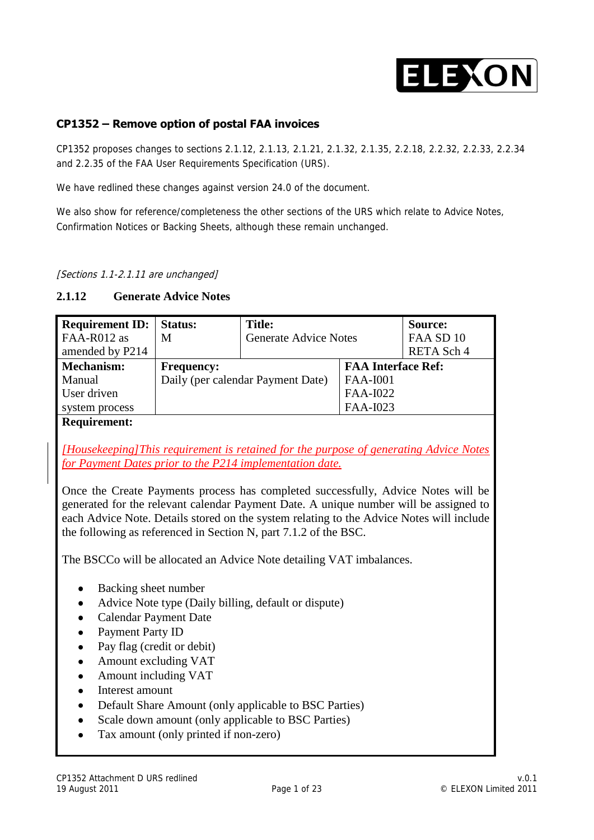

#### **CP1352 – Remove option of postal FAA invoices**

CP1352 proposes changes to sections 2.1.12, 2.1.13, 2.1.21, 2.1.32, 2.1.35, 2.2.18, 2.2.32, 2.2.33, 2.2.34 and 2.2.35 of the FAA User Requirements Specification (URS).

We have redlined these changes against version 24.0 of the document.

We also show for reference/completeness the other sections of the URS which relate to Advice Notes, Confirmation Notices or Backing Sheets, although these remain unchanged.

[Sections 1.1-2.1.11 are unchanged]

#### **2.1.12 Generate Advice Notes**

| <b>Requirement ID:</b>   Status: |                                   | <b>Title:</b>                |                           | Source:    |
|----------------------------------|-----------------------------------|------------------------------|---------------------------|------------|
| FAA-R012 as                      | M                                 | <b>Generate Advice Notes</b> |                           | FAA SD 10  |
| amended by P214                  |                                   |                              |                           | RETA Sch 4 |
| <b>Mechanism:</b>                | <b>Frequency:</b>                 |                              | <b>FAA Interface Ref:</b> |            |
| Manual                           | Daily (per calendar Payment Date) |                              | <b>FAA-I001</b>           |            |
| User driven                      |                                   |                              | FAA-I022                  |            |
| system process                   |                                   |                              | FAA-I023                  |            |
| <b>Requirement:</b>              |                                   |                              |                           |            |

*[Housekeeping]This requirement is retained for the purpose of generating Advice Notes for Payment Dates prior to the P214 implementation date.*

Once the Create Payments process has completed successfully, Advice Notes will be generated for the relevant calendar Payment Date. A unique number will be assigned to each Advice Note. Details stored on the system relating to the Advice Notes will include the following as referenced in Section N, part 7.1.2 of the BSC.

The BSCCo will be allocated an Advice Note detailing VAT imbalances.

- Backing sheet number  $\bullet$
- Advice Note type (Daily billing, default or dispute)  $\bullet$
- $\bullet$ Calendar Payment Date
- Payment Party ID  $\bullet$
- Pay flag (credit or debit)
- Amount excluding VAT  $\bullet$
- Amount including VAT  $\bullet$
- Interest amount  $\bullet$
- Default Share Amount (only applicable to BSC Parties)
- Scale down amount (only applicable to BSC Parties)  $\bullet$
- $\bullet$ Tax amount (only printed if non-zero)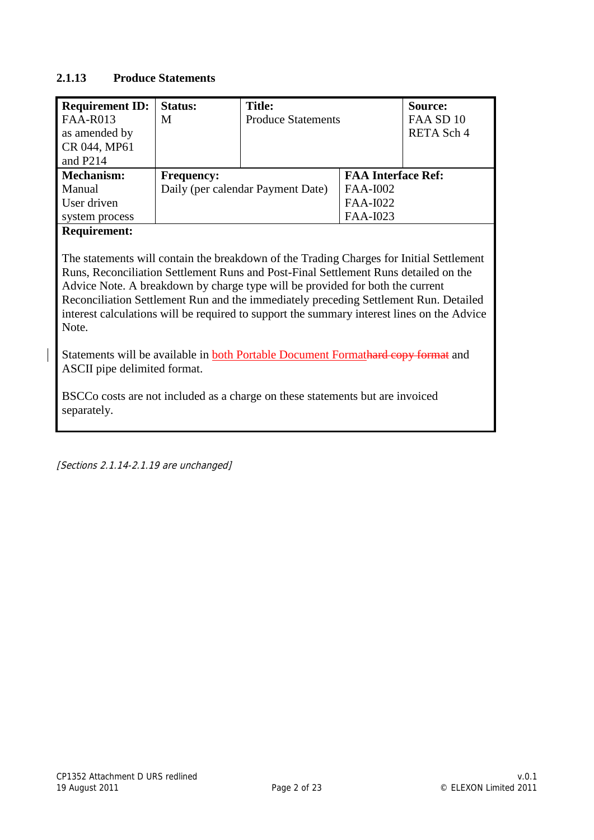#### **2.1.13 Produce Statements**

| <b>Requirement ID:</b>                                                                                                                                                                                                                                                                                                                                                                                                                                         | <b>Status:</b>    | <b>Title:</b>                     |                           | <b>Source:</b> |  |
|----------------------------------------------------------------------------------------------------------------------------------------------------------------------------------------------------------------------------------------------------------------------------------------------------------------------------------------------------------------------------------------------------------------------------------------------------------------|-------------------|-----------------------------------|---------------------------|----------------|--|
| <b>FAA-R013</b>                                                                                                                                                                                                                                                                                                                                                                                                                                                | M                 | <b>Produce Statements</b>         |                           | FAA SD 10      |  |
| as amended by                                                                                                                                                                                                                                                                                                                                                                                                                                                  |                   |                                   |                           | RETA Sch 4     |  |
| CR 044, MP61                                                                                                                                                                                                                                                                                                                                                                                                                                                   |                   |                                   |                           |                |  |
| and P <sub>214</sub>                                                                                                                                                                                                                                                                                                                                                                                                                                           |                   |                                   |                           |                |  |
| <b>Mechanism:</b>                                                                                                                                                                                                                                                                                                                                                                                                                                              | <b>Frequency:</b> |                                   | <b>FAA Interface Ref:</b> |                |  |
| Manual                                                                                                                                                                                                                                                                                                                                                                                                                                                         |                   | Daily (per calendar Payment Date) | FAA-I002                  |                |  |
| User driven                                                                                                                                                                                                                                                                                                                                                                                                                                                    |                   |                                   | FAA-I022                  |                |  |
| system process                                                                                                                                                                                                                                                                                                                                                                                                                                                 |                   |                                   | FAA-I023                  |                |  |
| <b>Requirement:</b>                                                                                                                                                                                                                                                                                                                                                                                                                                            |                   |                                   |                           |                |  |
| The statements will contain the breakdown of the Trading Charges for Initial Settlement<br>Runs, Reconciliation Settlement Runs and Post-Final Settlement Runs detailed on the<br>Advice Note. A breakdown by charge type will be provided for both the current<br>Reconciliation Settlement Run and the immediately preceding Settlement Run. Detailed<br>interest calculations will be required to support the summary interest lines on the Advice<br>Note. |                   |                                   |                           |                |  |
| Statements will be available in <b>both Portable Document Formathard copy format</b> and<br>ASCII pipe delimited format.                                                                                                                                                                                                                                                                                                                                       |                   |                                   |                           |                |  |
| BSCCo costs are not included as a charge on these statements but are invoiced<br>separately.                                                                                                                                                                                                                                                                                                                                                                   |                   |                                   |                           |                |  |

[Sections 2.1.14-2.1.19 are unchanged]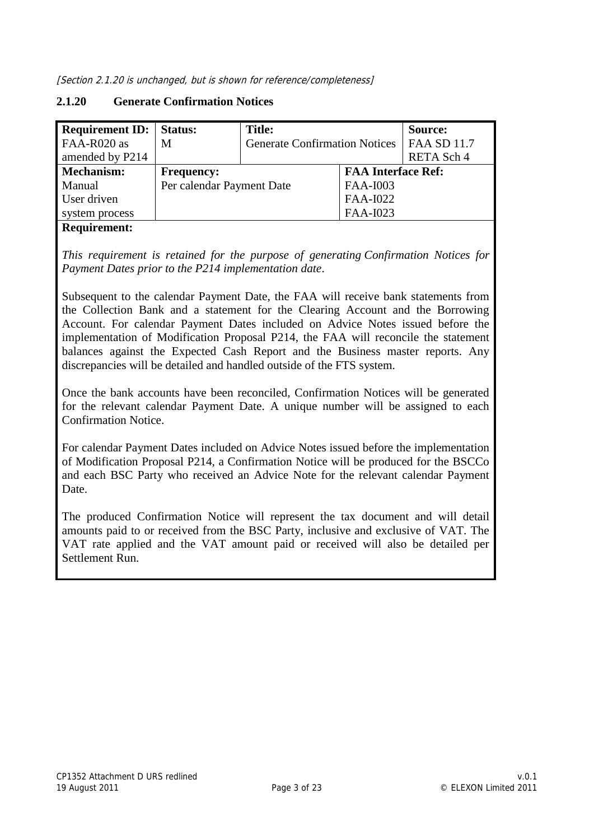[Section 2.1.20 is unchanged, but is shown for reference/completeness]

#### **2.1.20 Generate Confirmation Notices**

| <b>Requirement ID:</b>   Status: |                           | Title:                               |                           | Source:            |
|----------------------------------|---------------------------|--------------------------------------|---------------------------|--------------------|
| FAA-R020 as                      | M                         | <b>Generate Confirmation Notices</b> |                           | <b>FAA SD 11.7</b> |
| amended by P214                  |                           |                                      |                           | RETA Sch 4         |
| <b>Mechanism:</b>                | <b>Frequency:</b>         |                                      | <b>FAA Interface Ref:</b> |                    |
| Manual                           | Per calendar Payment Date |                                      | FAA-I003                  |                    |
| User driven                      |                           |                                      | FAA-I022                  |                    |
| system process                   |                           |                                      | FAA-I023                  |                    |
| $\sim$                           |                           |                                      |                           |                    |

#### **Requirement:**

*This requirement is retained for the purpose of generating Confirmation Notices for Payment Dates prior to the P214 implementation date*.

Subsequent to the calendar Payment Date, the FAA will receive bank statements from the Collection Bank and a statement for the Clearing Account and the Borrowing Account. For calendar Payment Dates included on Advice Notes issued before the implementation of Modification Proposal P214, the FAA will reconcile the statement balances against the Expected Cash Report and the Business master reports. Any discrepancies will be detailed and handled outside of the FTS system.

Once the bank accounts have been reconciled, Confirmation Notices will be generated for the relevant calendar Payment Date. A unique number will be assigned to each Confirmation Notice.

For calendar Payment Dates included on Advice Notes issued before the implementation of Modification Proposal P214, a Confirmation Notice will be produced for the BSCCo and each BSC Party who received an Advice Note for the relevant calendar Payment Date.

The produced Confirmation Notice will represent the tax document and will detail amounts paid to or received from the BSC Party, inclusive and exclusive of VAT. The VAT rate applied and the VAT amount paid or received will also be detailed per Settlement Run.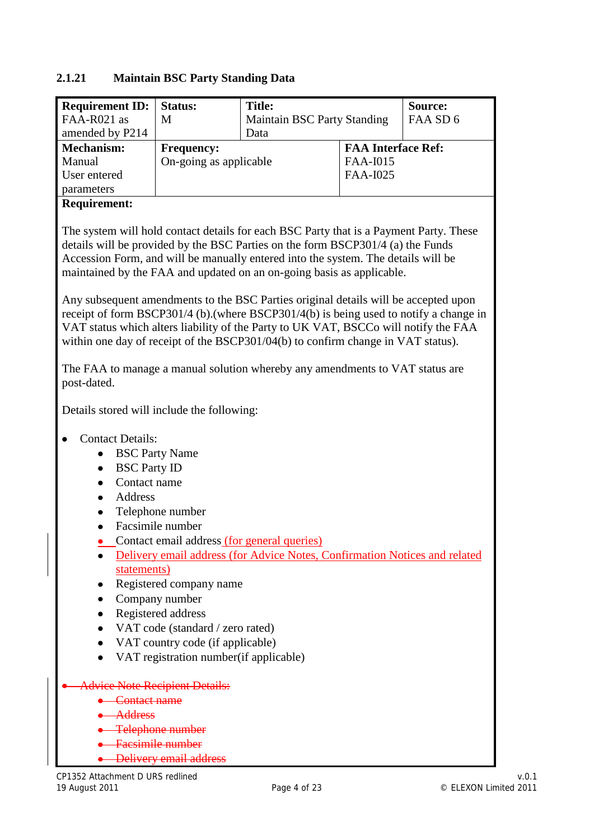#### **2.1.21 Maintain BSC Party Standing Data**

| <b>Requirement ID:</b>   Status: |                        | <b>Title:</b>                      |                           | Source:  |
|----------------------------------|------------------------|------------------------------------|---------------------------|----------|
| FAA-R021 as                      | M                      | <b>Maintain BSC Party Standing</b> |                           | FAA SD 6 |
| amended by P214                  |                        | Data                               |                           |          |
| <b>Mechanism:</b>                | <b>Frequency:</b>      |                                    | <b>FAA Interface Ref:</b> |          |
| Manual                           | On-going as applicable |                                    | FAA-I015                  |          |
| User entered                     |                        |                                    | FAA-I025                  |          |
| parameters                       |                        |                                    |                           |          |

#### **Requirement:**

The system will hold contact details for each BSC Party that is a Payment Party. These details will be provided by the BSC Parties on the form BSCP301/4 (a) the Funds Accession Form, and will be manually entered into the system. The details will be maintained by the FAA and updated on an on-going basis as applicable.

Any subsequent amendments to the BSC Parties original details will be accepted upon receipt of form BSCP301/4 (b).(where BSCP301/4(b) is being used to notify a change in VAT status which alters liability of the Party to UK VAT, BSCCo will notify the FAA within one day of receipt of the BSCP301/04(b) to confirm change in VAT status).

The FAA to manage a manual solution whereby any amendments to VAT status are post-dated.

Details stored will include the following:

- Contact Details:
	- BSC Party Name
	- BSC Party ID
	- Contact name
	- Address
	- Telephone number
	- Facsimile number
	- Contact email address (for general queries)
	- Delivery email address (for Advice Notes, Confirmation Notices and related statements)
	- Registered company name
	- Company number  $\bullet$
	- Registered address
	- VAT code (standard / zero rated)
	- VAT country code (if applicable)
	- VAT registration number(if applicable)
- dvice Note Recipient Details:
	- Contact name
	- **Address**
	- Telephone number
	- Facsimile number
	- Delivery email address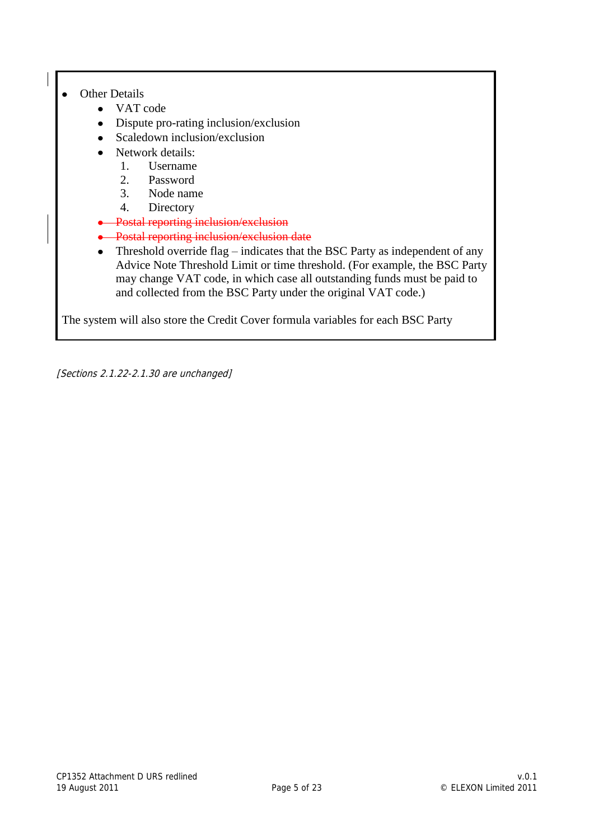#### Other Details  $\bullet$

- VAT code
- Dispute pro-rating inclusion/exclusion
- Scaledown inclusion/exclusion
- Network details:
	- 1. Username
	- 2. Password
	- 3. Node name
	- 4. Directory
- Postal reporting inclusion/exclusion
- **•** Postal reporting inclusion/exclusion date
- Threshold override flag indicates that the BSC Party as independent of any Advice Note Threshold Limit or time threshold. (For example, the BSC Party may change VAT code, in which case all outstanding funds must be paid to and collected from the BSC Party under the original VAT code.)

The system will also store the Credit Cover formula variables for each BSC Party

[Sections 2.1.22-2.1.30 are unchanged]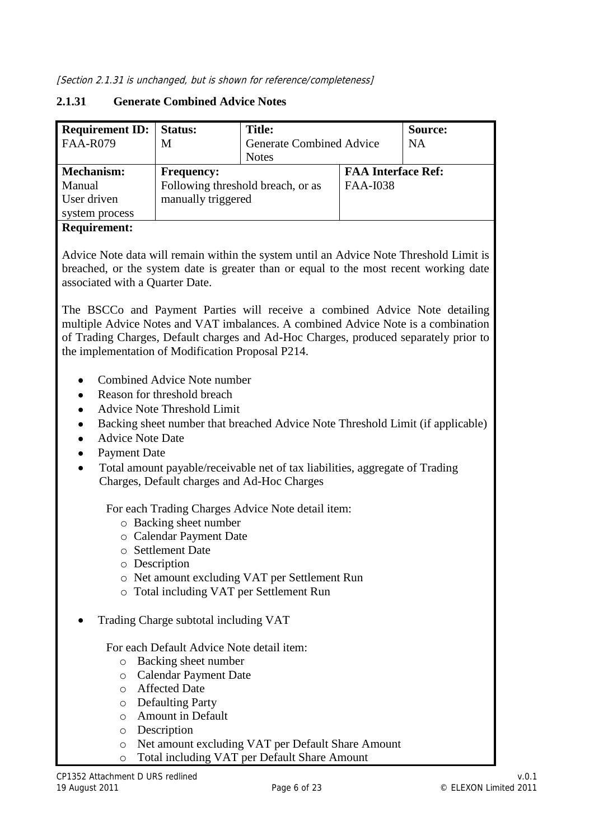#### **2.1.31 Generate Combined Advice Notes**

| <b>Requirement ID:</b><br><b>FAA-R079</b> | Status:<br>M                                           | <b>Title:</b><br><b>Generate Combined Advice</b><br><b>Notes</b> |                                              | Source:<br><b>NA</b> |
|-------------------------------------------|--------------------------------------------------------|------------------------------------------------------------------|----------------------------------------------|----------------------|
| <b>Mechanism:</b><br>Manual               | <b>Frequency:</b><br>Following threshold breach, or as |                                                                  | <b>FAA Interface Ref:</b><br><b>FAA-I038</b> |                      |
| User driven<br>system process             | manually triggered                                     |                                                                  |                                              |                      |

#### **Requirement:**

Advice Note data will remain within the system until an Advice Note Threshold Limit is breached, or the system date is greater than or equal to the most recent working date associated with a Quarter Date.

The BSCCo and Payment Parties will receive a combined Advice Note detailing multiple Advice Notes and VAT imbalances. A combined Advice Note is a combination of Trading Charges, Default charges and Ad-Hoc Charges, produced separately prior to the implementation of Modification Proposal P214.

- Combined Advice Note number
- Reason for threshold breach
- Advice Note Threshold Limit
- Backing sheet number that breached Advice Note Threshold Limit (if applicable)  $\bullet$
- Advice Note Date  $\bullet$
- Payment Date  $\bullet$
- Total amount payable/receivable net of tax liabilities, aggregate of Trading Charges, Default charges and Ad-Hoc Charges

For each Trading Charges Advice Note detail item:

- o Backing sheet number
- o Calendar Payment Date
- o Settlement Date
- o Description
- o Net amount excluding VAT per Settlement Run
- o Total including VAT per Settlement Run
- Trading Charge subtotal including VAT

#### For each Default Advice Note detail item:

- o Backing sheet number
- o Calendar Payment Date
- o Affected Date
- o Defaulting Party
- o Amount in Default
- o Description
- o Net amount excluding VAT per Default Share Amount
- o Total including VAT per Default Share Amount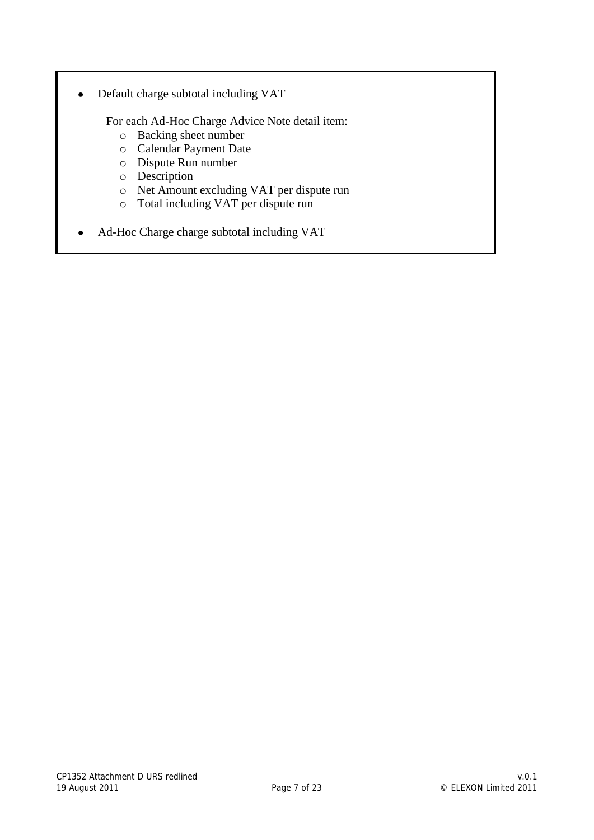Default charge subtotal including VAT  $\bullet$ 

For each Ad-Hoc Charge Advice Note detail item:

- o Backing sheet number
- o Calendar Payment Date
- o Dispute Run number
- o Description
- o Net Amount excluding VAT per dispute run
- o Total including VAT per dispute run
- Ad-Hoc Charge charge subtotal including VAT $\bullet$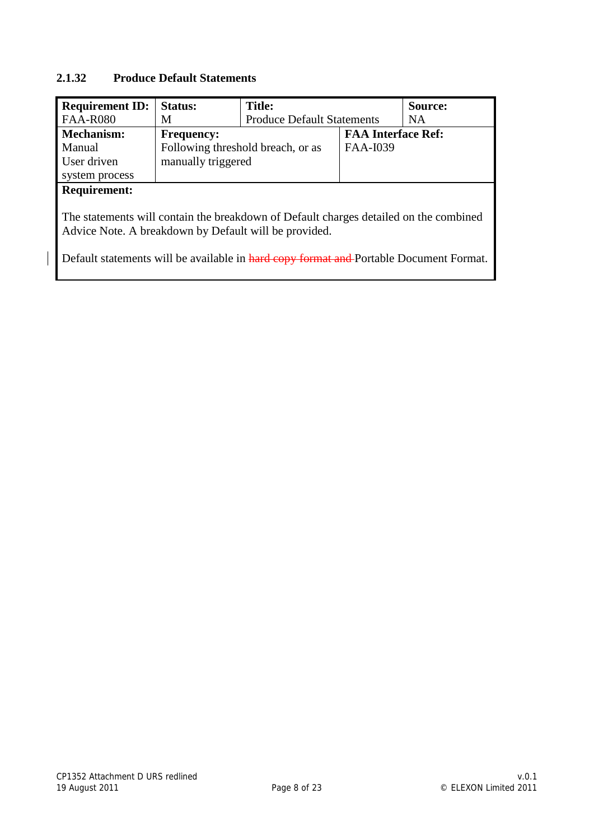#### **2.1.32 Produce Default Statements**

| <b>Requirement ID:</b>                                                                                                                                                                                                                   | <b>Status:</b>     | <b>Title:</b>                     |                           | Source:   |  |
|------------------------------------------------------------------------------------------------------------------------------------------------------------------------------------------------------------------------------------------|--------------------|-----------------------------------|---------------------------|-----------|--|
| <b>FAA-R080</b>                                                                                                                                                                                                                          | M                  | <b>Produce Default Statements</b> |                           | <b>NA</b> |  |
| Mechanism:                                                                                                                                                                                                                               | <b>Frequency:</b>  |                                   | <b>FAA Interface Ref:</b> |           |  |
| Manual                                                                                                                                                                                                                                   |                    | Following threshold breach, or as | FAA-I039                  |           |  |
| User driven                                                                                                                                                                                                                              | manually triggered |                                   |                           |           |  |
| system process                                                                                                                                                                                                                           |                    |                                   |                           |           |  |
| <b>Requirement:</b>                                                                                                                                                                                                                      |                    |                                   |                           |           |  |
| The statements will contain the breakdown of Default charges detailed on the combined<br>Advice Note. A breakdown by Default will be provided.<br>Default statements will be available in hard copy format and Portable Document Format. |                    |                                   |                           |           |  |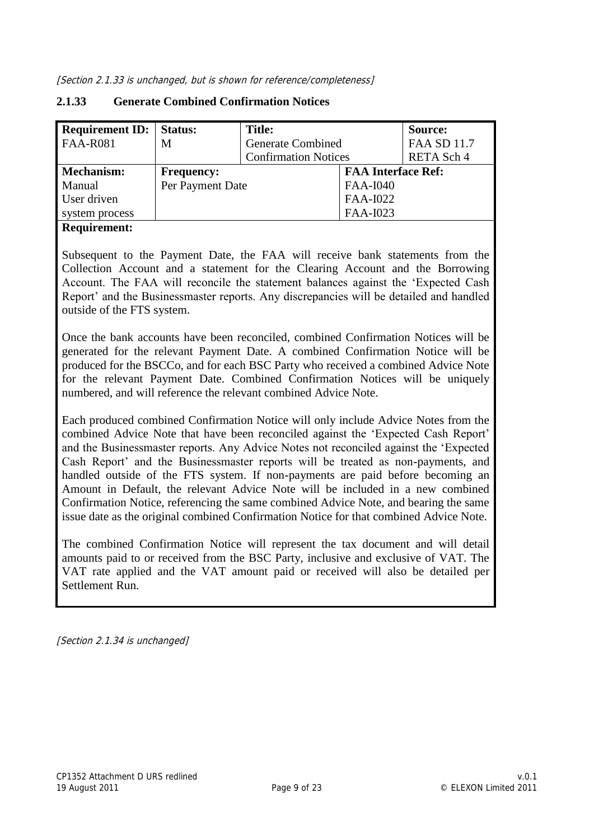| <b>Requirement ID:   Status:</b> |                   | Title:                      |                           | Source:            |
|----------------------------------|-------------------|-----------------------------|---------------------------|--------------------|
| <b>FAA-R081</b>                  | M                 | <b>Generate Combined</b>    |                           | <b>FAA SD 11.7</b> |
|                                  |                   | <b>Confirmation Notices</b> |                           | RETA Sch 4         |
| Mechanism:                       | <b>Frequency:</b> |                             | <b>FAA Interface Ref:</b> |                    |
| Manual                           | Per Payment Date  |                             | <b>FAA-I040</b>           |                    |
| User driven                      |                   |                             | FAA-I022                  |                    |
| system process                   |                   |                             | FAA-I023                  |                    |

#### **2.1.33 Generate Combined Confirmation Notices**

#### **Requirement:**

Subsequent to the Payment Date, the FAA will receive bank statements from the Collection Account and a statement for the Clearing Account and the Borrowing Account. The FAA will reconcile the statement balances against the "Expected Cash Report" and the Businessmaster reports. Any discrepancies will be detailed and handled outside of the FTS system.

Once the bank accounts have been reconciled, combined Confirmation Notices will be generated for the relevant Payment Date. A combined Confirmation Notice will be produced for the BSCCo, and for each BSC Party who received a combined Advice Note for the relevant Payment Date. Combined Confirmation Notices will be uniquely numbered, and will reference the relevant combined Advice Note.

Each produced combined Confirmation Notice will only include Advice Notes from the combined Advice Note that have been reconciled against the "Expected Cash Report" and the Businessmaster reports. Any Advice Notes not reconciled against the "Expected Cash Report' and the Businessmaster reports will be treated as non-payments, and handled outside of the FTS system. If non-payments are paid before becoming an Amount in Default, the relevant Advice Note will be included in a new combined Confirmation Notice, referencing the same combined Advice Note, and bearing the same issue date as the original combined Confirmation Notice for that combined Advice Note.

The combined Confirmation Notice will represent the tax document and will detail amounts paid to or received from the BSC Party, inclusive and exclusive of VAT. The VAT rate applied and the VAT amount paid or received will also be detailed per Settlement Run.

[Section 2.1.34 is unchanged]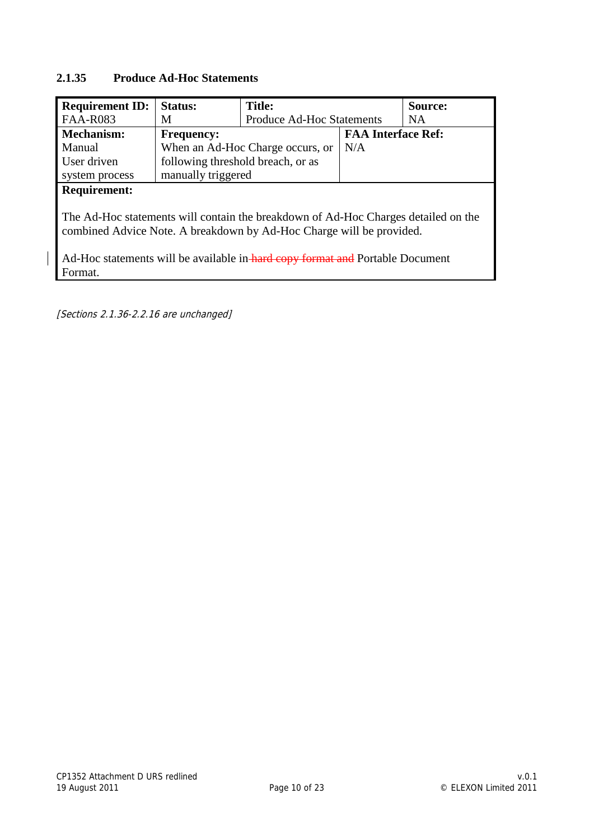#### **2.1.35 Produce Ad-Hoc Statements**

| <b>Requirement ID:</b>                                                                                                                                                                                                                                 | <b>Status:</b>                    | <b>Title:</b>                    |                           | Source: |
|--------------------------------------------------------------------------------------------------------------------------------------------------------------------------------------------------------------------------------------------------------|-----------------------------------|----------------------------------|---------------------------|---------|
| <b>FAA-R083</b>                                                                                                                                                                                                                                        | M                                 | <b>Produce Ad-Hoc Statements</b> |                           | NA.     |
| <b>Mechanism:</b>                                                                                                                                                                                                                                      | <b>Frequency:</b>                 |                                  | <b>FAA Interface Ref:</b> |         |
| Manual                                                                                                                                                                                                                                                 |                                   | When an Ad-Hoc Charge occurs, or | N/A                       |         |
| User driven                                                                                                                                                                                                                                            | following threshold breach, or as |                                  |                           |         |
| system process                                                                                                                                                                                                                                         | manually triggered                |                                  |                           |         |
| <b>Requirement:</b>                                                                                                                                                                                                                                    |                                   |                                  |                           |         |
| The Ad-Hoc statements will contain the breakdown of Ad-Hoc Charges detailed on the<br>combined Advice Note. A breakdown by Ad-Hoc Charge will be provided.<br>Ad-Hoc statements will be available in-hard copy format and Portable Document<br>Format. |                                   |                                  |                           |         |

[Sections 2.1.36-2.2.16 are unchanged]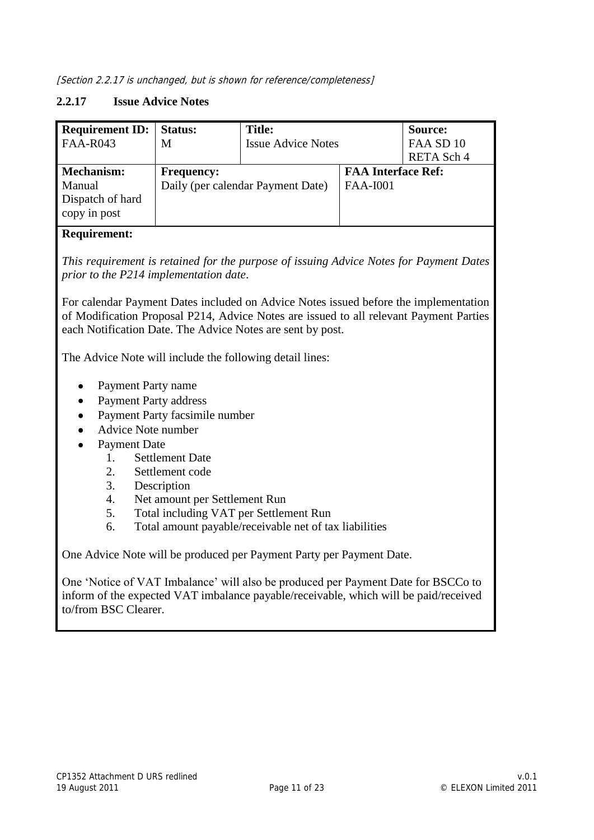[Section 2.2.17 is unchanged, but is shown for reference/completeness]

#### **2.2.17 Issue Advice Notes**

| <b>Requirement ID:</b><br><b>FAA-R043</b>                       | Status:<br>M      | <b>Title:</b><br><b>Issue Advice Notes</b> |                                              | Source:<br>FAA SD 10<br>RETA Sch 4 |
|-----------------------------------------------------------------|-------------------|--------------------------------------------|----------------------------------------------|------------------------------------|
| <b>Mechanism:</b><br>Manual<br>Dispatch of hard<br>copy in post | <b>Frequency:</b> | Daily (per calendar Payment Date)          | <b>FAA Interface Ref:</b><br><b>FAA-I001</b> |                                    |

#### **Requirement:**

*This requirement is retained for the purpose of issuing Advice Notes for Payment Dates prior to the P214 implementation date*.

For calendar Payment Dates included on Advice Notes issued before the implementation of Modification Proposal P214, Advice Notes are issued to all relevant Payment Parties each Notification Date. The Advice Notes are sent by post.

The Advice Note will include the following detail lines:

- Payment Party name  $\bullet$
- Payment Party address  $\bullet$
- Payment Party facsimile number
- Advice Note number
- Payment Date
	- 1. Settlement Date
	- 2. Settlement code
	- 3. Description
	- 4. Net amount per Settlement Run
	- 5. Total including VAT per Settlement Run
	- 6. Total amount payable/receivable net of tax liabilities

One Advice Note will be produced per Payment Party per Payment Date.

One "Notice of VAT Imbalance" will also be produced per Payment Date for BSCCo to inform of the expected VAT imbalance payable/receivable, which will be paid/received to/from BSC Clearer.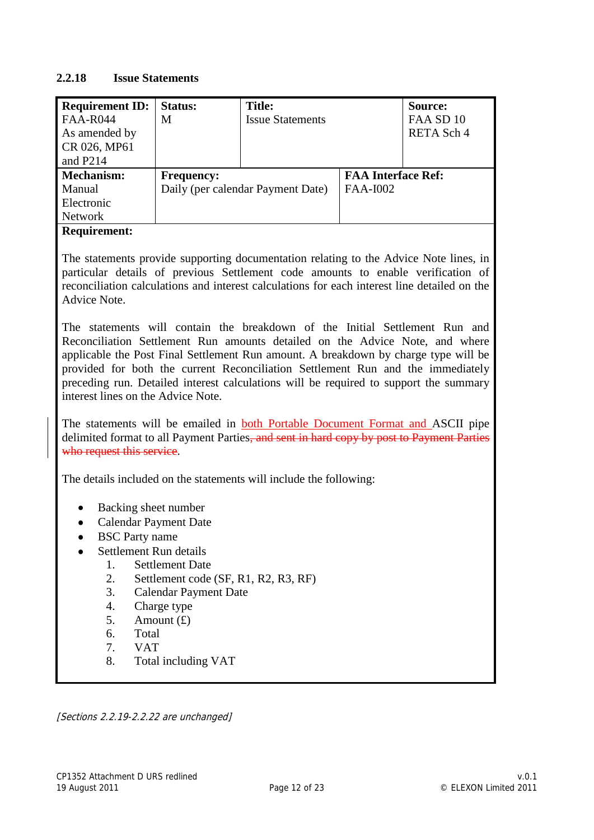#### **2.2.18 Issue Statements**

| <b>Requirement ID:</b>       | <b>Status:</b>                                                                                                                                                                                                                                                                                                                                                                                                                                                       | <b>Title:</b>                                                                                                                                                                                                                                                             |                           | Source:    |  |  |
|------------------------------|----------------------------------------------------------------------------------------------------------------------------------------------------------------------------------------------------------------------------------------------------------------------------------------------------------------------------------------------------------------------------------------------------------------------------------------------------------------------|---------------------------------------------------------------------------------------------------------------------------------------------------------------------------------------------------------------------------------------------------------------------------|---------------------------|------------|--|--|
| <b>FAA-R044</b>              | M                                                                                                                                                                                                                                                                                                                                                                                                                                                                    | <b>Issue Statements</b>                                                                                                                                                                                                                                                   |                           | FAA SD 10  |  |  |
| As amended by                |                                                                                                                                                                                                                                                                                                                                                                                                                                                                      |                                                                                                                                                                                                                                                                           |                           | RETA Sch 4 |  |  |
| CR 026, MP61                 |                                                                                                                                                                                                                                                                                                                                                                                                                                                                      |                                                                                                                                                                                                                                                                           |                           |            |  |  |
| and P214                     |                                                                                                                                                                                                                                                                                                                                                                                                                                                                      |                                                                                                                                                                                                                                                                           |                           |            |  |  |
| <b>Mechanism:</b>            | <b>Frequency:</b>                                                                                                                                                                                                                                                                                                                                                                                                                                                    |                                                                                                                                                                                                                                                                           | <b>FAA Interface Ref:</b> |            |  |  |
| Manual                       |                                                                                                                                                                                                                                                                                                                                                                                                                                                                      | Daily (per calendar Payment Date)                                                                                                                                                                                                                                         | <b>FAA-I002</b>           |            |  |  |
| Electronic                   |                                                                                                                                                                                                                                                                                                                                                                                                                                                                      |                                                                                                                                                                                                                                                                           |                           |            |  |  |
| <b>Network</b>               |                                                                                                                                                                                                                                                                                                                                                                                                                                                                      |                                                                                                                                                                                                                                                                           |                           |            |  |  |
| <b>Requirement:</b>          |                                                                                                                                                                                                                                                                                                                                                                                                                                                                      |                                                                                                                                                                                                                                                                           |                           |            |  |  |
| Advice Note.                 |                                                                                                                                                                                                                                                                                                                                                                                                                                                                      | The statements provide supporting documentation relating to the Advice Note lines, in<br>particular details of previous Settlement code amounts to enable verification of<br>reconciliation calculations and interest calculations for each interest line detailed on the |                           |            |  |  |
|                              | The statements will contain the breakdown of the Initial Settlement Run and<br>Reconciliation Settlement Run amounts detailed on the Advice Note, and where<br>applicable the Post Final Settlement Run amount. A breakdown by charge type will be<br>provided for both the current Reconciliation Settlement Run and the immediately<br>preceding run. Detailed interest calculations will be required to support the summary<br>interest lines on the Advice Note. |                                                                                                                                                                                                                                                                           |                           |            |  |  |
| who request this service.    |                                                                                                                                                                                                                                                                                                                                                                                                                                                                      | The statements will be emailed in both Portable Document Format and ASCII pipe<br>delimited format to all Payment Parties, and sent in hard copy by post to Payment Parties                                                                                               |                           |            |  |  |
|                              |                                                                                                                                                                                                                                                                                                                                                                                                                                                                      | The details included on the statements will include the following:                                                                                                                                                                                                        |                           |            |  |  |
|                              |                                                                                                                                                                                                                                                                                                                                                                                                                                                                      |                                                                                                                                                                                                                                                                           |                           |            |  |  |
| Backing sheet number<br>٠    |                                                                                                                                                                                                                                                                                                                                                                                                                                                                      |                                                                                                                                                                                                                                                                           |                           |            |  |  |
| <b>Calendar Payment Date</b> |                                                                                                                                                                                                                                                                                                                                                                                                                                                                      |                                                                                                                                                                                                                                                                           |                           |            |  |  |
| <b>BSC</b> Party name        |                                                                                                                                                                                                                                                                                                                                                                                                                                                                      |                                                                                                                                                                                                                                                                           |                           |            |  |  |
| Settlement Run details       | <b>Settlement Date</b>                                                                                                                                                                                                                                                                                                                                                                                                                                               |                                                                                                                                                                                                                                                                           |                           |            |  |  |
| 1.<br>2.                     |                                                                                                                                                                                                                                                                                                                                                                                                                                                                      |                                                                                                                                                                                                                                                                           |                           |            |  |  |
| 3.                           | Settlement code (SF, R1, R2, R3, RF)<br><b>Calendar Payment Date</b>                                                                                                                                                                                                                                                                                                                                                                                                 |                                                                                                                                                                                                                                                                           |                           |            |  |  |
| 4.                           | Charge type                                                                                                                                                                                                                                                                                                                                                                                                                                                          |                                                                                                                                                                                                                                                                           |                           |            |  |  |
| 5.                           | Amount $(f)$                                                                                                                                                                                                                                                                                                                                                                                                                                                         |                                                                                                                                                                                                                                                                           |                           |            |  |  |
| Total<br>6.                  |                                                                                                                                                                                                                                                                                                                                                                                                                                                                      |                                                                                                                                                                                                                                                                           |                           |            |  |  |
| 7.<br><b>VAT</b>             |                                                                                                                                                                                                                                                                                                                                                                                                                                                                      |                                                                                                                                                                                                                                                                           |                           |            |  |  |
| 8.                           | Total including VAT                                                                                                                                                                                                                                                                                                                                                                                                                                                  |                                                                                                                                                                                                                                                                           |                           |            |  |  |
|                              |                                                                                                                                                                                                                                                                                                                                                                                                                                                                      |                                                                                                                                                                                                                                                                           |                           |            |  |  |
|                              |                                                                                                                                                                                                                                                                                                                                                                                                                                                                      |                                                                                                                                                                                                                                                                           |                           |            |  |  |

[Sections 2.2.19-2.2.22 are unchanged]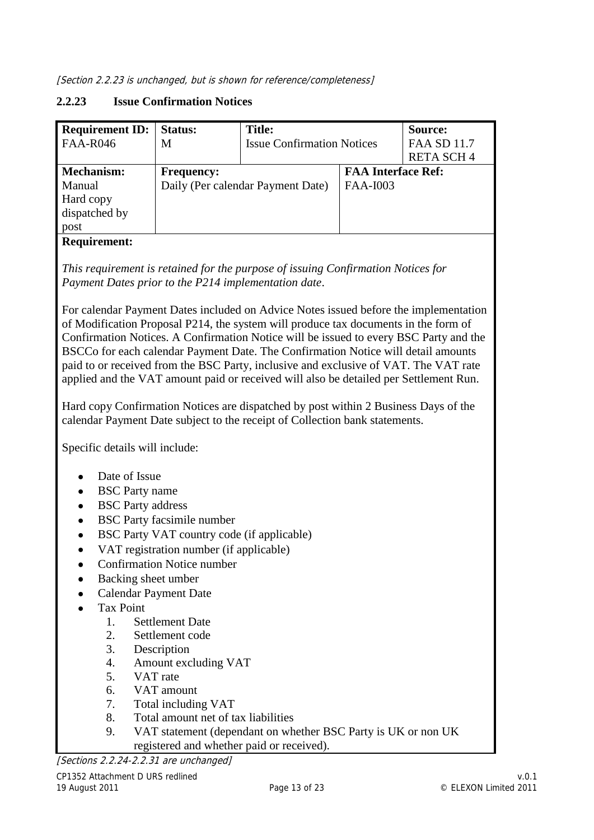#### **2.2.23 Issue Confirmation Notices**

| <b>Requirement ID:</b> | Status:           | <b>Title:</b>                     |                           | Source:            |
|------------------------|-------------------|-----------------------------------|---------------------------|--------------------|
| <b>FAA-R046</b>        | M                 | <b>Issue Confirmation Notices</b> |                           | <b>FAA SD 11.7</b> |
|                        |                   |                                   |                           | <b>RETA SCH4</b>   |
| <b>Mechanism:</b>      | <b>Frequency:</b> |                                   | <b>FAA Interface Ref:</b> |                    |
| Manual                 |                   | Daily (Per calendar Payment Date) | <b>FAA-I003</b>           |                    |
| Hard copy              |                   |                                   |                           |                    |
| dispatched by          |                   |                                   |                           |                    |
| post                   |                   |                                   |                           |                    |
| $\sim$                 |                   |                                   |                           |                    |

#### **Requirement:**

*This requirement is retained for the purpose of issuing Confirmation Notices for Payment Dates prior to the P214 implementation date*.

For calendar Payment Dates included on Advice Notes issued before the implementation of Modification Proposal P214, the system will produce tax documents in the form of Confirmation Notices. A Confirmation Notice will be issued to every BSC Party and the BSCCo for each calendar Payment Date. The Confirmation Notice will detail amounts paid to or received from the BSC Party, inclusive and exclusive of VAT. The VAT rate applied and the VAT amount paid or received will also be detailed per Settlement Run.

Hard copy Confirmation Notices are dispatched by post within 2 Business Days of the calendar Payment Date subject to the receipt of Collection bank statements.

Specific details will include:

- Date of Issue  $\bullet$
- BSC Party name  $\bullet$
- $\bullet$ BSC Party address
- BSC Party facsimile number  $\bullet$
- BSC Party VAT country code (if applicable)  $\bullet$
- VAT registration number (if applicable)  $\bullet$
- Confirmation Notice number  $\bullet$
- Backing sheet umber  $\bullet$ 
	- Calendar Payment Date
- Tax Point
	- 1. Settlement Date
	- 2. Settlement code
	- 3. Description
	- 4. Amount excluding VAT
	- 5. VAT rate
	- 6. VAT amount
	- 7. Total including VAT
	- 8. Total amount net of tax liabilities
	- 9. VAT statement (dependant on whether BSC Party is UK or non UK registered and whether paid or received).

[Sections 2.2.24-2.2.31 are unchanged]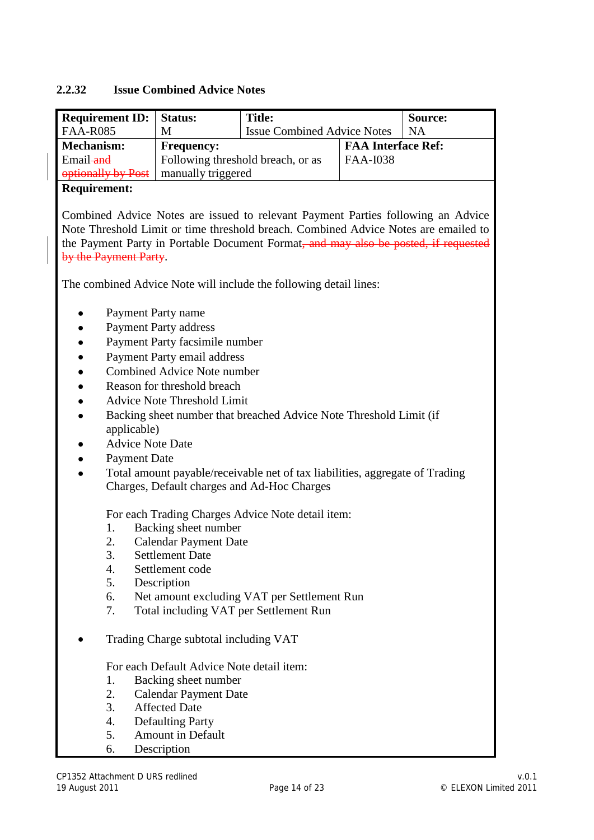#### **2.2.32 Issue Combined Advice Notes**

| <b>Requirement ID:</b> Status: |                                   | <b>Title:</b>                      |                           | Source:   |
|--------------------------------|-----------------------------------|------------------------------------|---------------------------|-----------|
| <b>FAA-R085</b>                | M                                 | <b>Issue Combined Advice Notes</b> |                           | <b>NA</b> |
| Mechanism:                     | <b>Frequency:</b>                 |                                    | <b>FAA Interface Ref:</b> |           |
| Email and                      | Following threshold breach, or as |                                    | <b>FAA-I038</b>           |           |
| optionally by Post             | manually triggered                |                                    |                           |           |

#### **Requirement:**

Combined Advice Notes are issued to relevant Payment Parties following an Advice Note Threshold Limit or time threshold breach. Combined Advice Notes are emailed to the Payment Party in Portable Document Format, and may also be posted, if requested by the Payment Party.

The combined Advice Note will include the following detail lines:

- $\bullet$ Payment Party name
- Payment Party address  $\bullet$
- Payment Party facsimile number  $\bullet$
- $\bullet$ Payment Party email address
- Combined Advice Note number  $\bullet$
- Reason for threshold breach  $\bullet$
- Advice Note Threshold Limit
- Backing sheet number that breached Advice Note Threshold Limit (if  $\bullet$ applicable)
- Advice Note Date
- $\bullet$ Payment Date
- Total amount payable/receivable net of tax liabilities, aggregate of Trading Charges, Default charges and Ad-Hoc Charges

For each Trading Charges Advice Note detail item:

- 1. Backing sheet number
- 2. Calendar Payment Date
- 3. Settlement Date
- 4. Settlement code
- 5. Description
- 6. Net amount excluding VAT per Settlement Run
- 7. Total including VAT per Settlement Run
- Trading Charge subtotal including VAT

For each Default Advice Note detail item:

- 1. Backing sheet number
- 2. Calendar Payment Date
- 3. Affected Date
- 4. Defaulting Party
- 5. Amount in Default
- 6. Description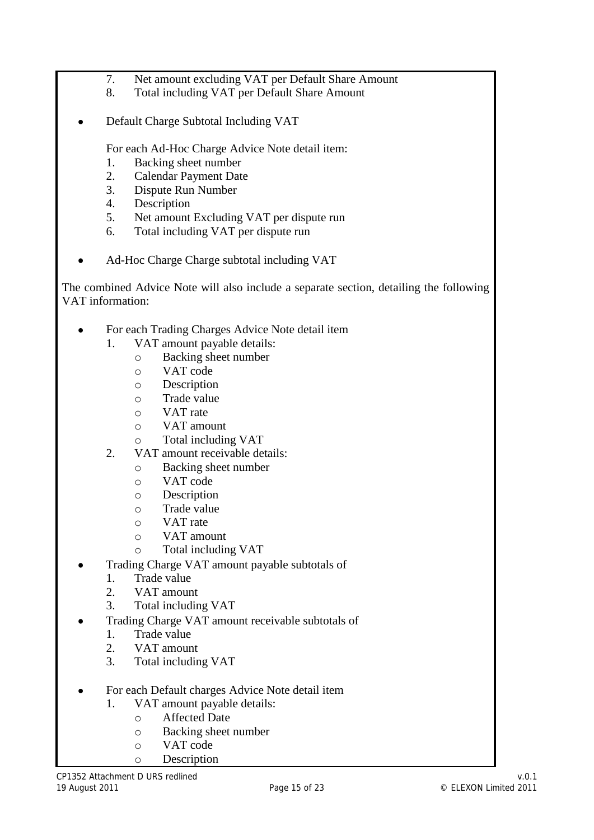- 7. Net amount excluding VAT per Default Share Amount
- 8. Total including VAT per Default Share Amount
- Default Charge Subtotal Including VAT  $\bullet$

For each Ad-Hoc Charge Advice Note detail item:

- 1. Backing sheet number
- 2. Calendar Payment Date
- 3. Dispute Run Number
- 4. Description
- 5. Net amount Excluding VAT per dispute run
- 6. Total including VAT per dispute run
- Ad-Hoc Charge Charge subtotal including VAT

The combined Advice Note will also include a separate section, detailing the following VAT information:

- For each Trading Charges Advice Note detail item  $\bullet$ 
	- 1. VAT amount payable details:
		- o Backing sheet number
		- o VAT code
		- o Description
		- o Trade value
		- o VAT rate
		- o VAT amount
		- o Total including VAT
	- 2. VAT amount receivable details:
		- o Backing sheet number
			- o VAT code
			- o Description
			- o Trade value
			- o VAT rate
			- o VAT amount
			- o Total including VAT
- Trading Charge VAT amount payable subtotals of
	- 1. Trade value
	- 2. VAT amount
	- 3. Total including VAT
- Trading Charge VAT amount receivable subtotals of
	- 1. Trade value
	- 2. VAT amount
	- 3. Total including VAT
- For each Default charges Advice Note detail item
	- 1. VAT amount payable details:
		- o Affected Date
		- o Backing sheet number
		- o VAT code
		- o Description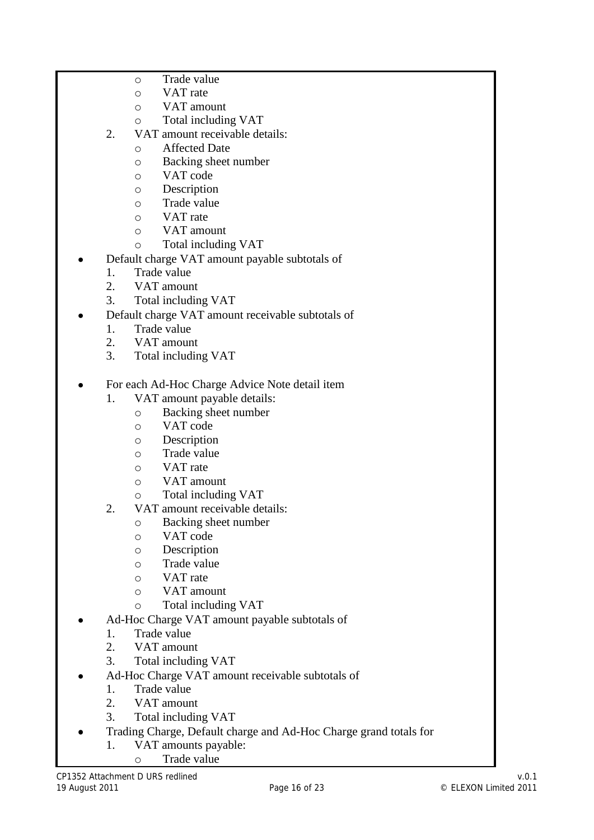- o Trade value
- o VAT rate
- o VAT amount
- o Total including VAT
- 2. VAT amount receivable details:
	- o Affected Date
		- o Backing sheet number
		- o VAT code
		- o Description
		- o Trade value
		- o VAT rate
		- o VAT amount
		- o Total including VAT
- Default charge VAT amount payable subtotals of
	- 1. Trade value
	- 2. VAT amount
	- 3. Total including VAT
- Default charge VAT amount receivable subtotals of
	- 1. Trade value
	- 2. VAT amount
	- 3. Total including VAT
- For each Ad-Hoc Charge Advice Note detail item
	- 1. VAT amount payable details:
		- o Backing sheet number
		- o VAT code
		- o Description
		- o Trade value
		- o VAT rate
		- o VAT amount
		- o Total including VAT
	- 2. VAT amount receivable details:
		- o Backing sheet number
		- o VAT code
		- o Description
		- o Trade value
		- o VAT rate
		- o VAT amount
		- o Total including VAT
- Ad-Hoc Charge VAT amount payable subtotals of
	- 1. Trade value
	- 2. VAT amount
	- 3. Total including VAT
- Ad-Hoc Charge VAT amount receivable subtotals of
	- 1. Trade value
	- 2. VAT amount
	- 3. Total including VAT
	- Trading Charge, Default charge and Ad-Hoc Charge grand totals for
		- 1. VAT amounts payable:
			- o Trade value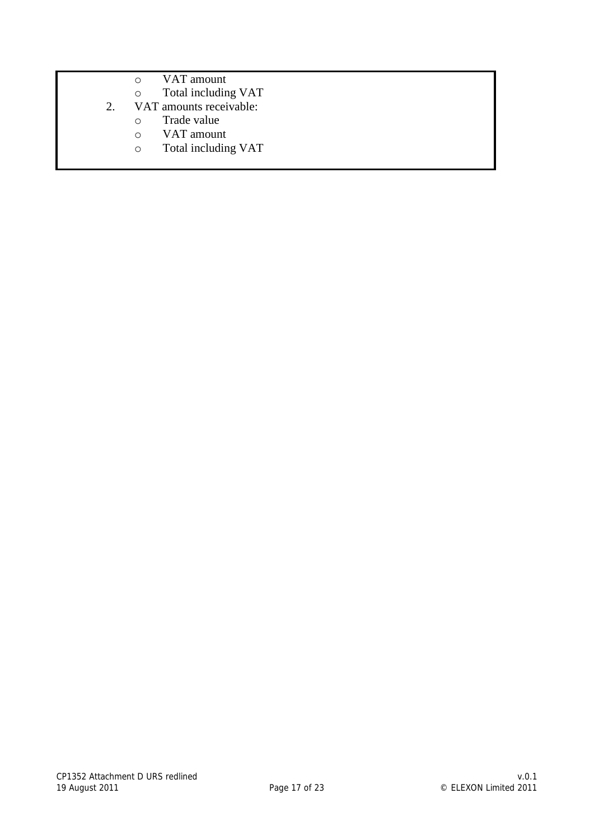- o VAT amount
- o Total including VAT
- 2. VAT amounts receivable:
	- o Trade value
	- o VAT amount
	- o Total including VAT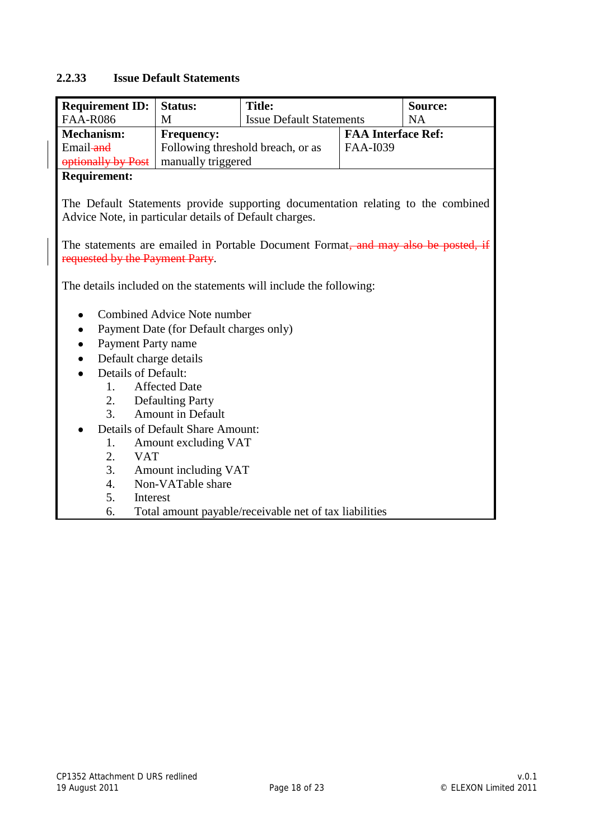#### **2.2.33 Issue Default Statements**

| <b>Requirement ID:</b>                                 | <b>Status:</b>                          | <b>Title:</b>                                                                                                                                                          |                           | Source:   |
|--------------------------------------------------------|-----------------------------------------|------------------------------------------------------------------------------------------------------------------------------------------------------------------------|---------------------------|-----------|
| <b>FAA-R086</b>                                        | M                                       | <b>Issue Default Statements</b>                                                                                                                                        |                           | <b>NA</b> |
| <b>Mechanism:</b>                                      | <b>Frequency:</b>                       |                                                                                                                                                                        | <b>FAA Interface Ref:</b> |           |
| Email-and                                              |                                         | Following threshold breach, or as                                                                                                                                      | <b>FAA-I039</b>           |           |
| optionally by Post                                     | manually triggered                      |                                                                                                                                                                        |                           |           |
| <b>Requirement:</b>                                    |                                         |                                                                                                                                                                        |                           |           |
| Advice Note, in particular details of Default charges. |                                         | The Default Statements provide supporting documentation relating to the combined<br>The statements are emailed in Portable Document Format, and may also be posted, if |                           |           |
| requested by the Payment Party.                        |                                         |                                                                                                                                                                        |                           |           |
| ٠                                                      | <b>Combined Advice Note number</b>      | The details included on the statements will include the following:                                                                                                     |                           |           |
| $\bullet$                                              | Payment Date (for Default charges only) |                                                                                                                                                                        |                           |           |
| Payment Party name                                     |                                         |                                                                                                                                                                        |                           |           |
| Default charge details<br><b>Details of Default:</b>   |                                         |                                                                                                                                                                        |                           |           |
| 1.                                                     | <b>Affected Date</b>                    |                                                                                                                                                                        |                           |           |
| 2.                                                     | <b>Defaulting Party</b>                 |                                                                                                                                                                        |                           |           |
| 3.                                                     | <b>Amount in Default</b>                |                                                                                                                                                                        |                           |           |
|                                                        | <b>Details of Default Share Amount:</b> |                                                                                                                                                                        |                           |           |
| 1.                                                     | Amount excluding VAT                    |                                                                                                                                                                        |                           |           |
| 2.<br><b>VAT</b>                                       |                                         |                                                                                                                                                                        |                           |           |
| 3.                                                     | Amount including VAT                    |                                                                                                                                                                        |                           |           |
| 4.                                                     | Non-VATable share                       |                                                                                                                                                                        |                           |           |
| 5.<br>Interest                                         |                                         |                                                                                                                                                                        |                           |           |
| 6.                                                     |                                         | Total amount payable/receivable net of tax liabilities                                                                                                                 |                           |           |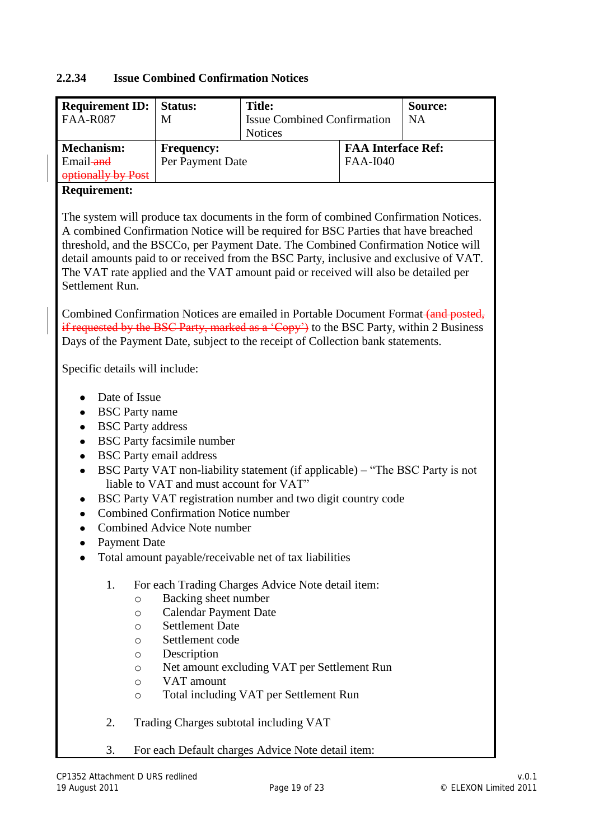# **2.2.34 Issue Combined Confirmation Notices**

| <b>Requirement ID:</b>                                                                                                 | <b>Status:</b>                                                                                                                                                                                                                                                  | <b>Title:</b>                                                                                                                                                                                                                                                                                                                                                                                                                                  |                           | Source:   |  |  |
|------------------------------------------------------------------------------------------------------------------------|-----------------------------------------------------------------------------------------------------------------------------------------------------------------------------------------------------------------------------------------------------------------|------------------------------------------------------------------------------------------------------------------------------------------------------------------------------------------------------------------------------------------------------------------------------------------------------------------------------------------------------------------------------------------------------------------------------------------------|---------------------------|-----------|--|--|
| <b>FAA-R087</b>                                                                                                        | M                                                                                                                                                                                                                                                               | <b>Issue Combined Confirmation</b>                                                                                                                                                                                                                                                                                                                                                                                                             |                           | <b>NA</b> |  |  |
|                                                                                                                        |                                                                                                                                                                                                                                                                 | <b>Notices</b>                                                                                                                                                                                                                                                                                                                                                                                                                                 |                           |           |  |  |
| <b>Mechanism:</b>                                                                                                      | <b>Frequency:</b>                                                                                                                                                                                                                                               |                                                                                                                                                                                                                                                                                                                                                                                                                                                | <b>FAA Interface Ref:</b> |           |  |  |
| Email-and                                                                                                              | Per Payment Date                                                                                                                                                                                                                                                |                                                                                                                                                                                                                                                                                                                                                                                                                                                | <b>FAA-I040</b>           |           |  |  |
| optionally by Post                                                                                                     |                                                                                                                                                                                                                                                                 |                                                                                                                                                                                                                                                                                                                                                                                                                                                |                           |           |  |  |
| <b>Requirement:</b>                                                                                                    |                                                                                                                                                                                                                                                                 |                                                                                                                                                                                                                                                                                                                                                                                                                                                |                           |           |  |  |
| Settlement Run.                                                                                                        |                                                                                                                                                                                                                                                                 | The system will produce tax documents in the form of combined Confirmation Notices.<br>A combined Confirmation Notice will be required for BSC Parties that have breached<br>threshold, and the BSCCo, per Payment Date. The Combined Confirmation Notice will<br>detail amounts paid to or received from the BSC Party, inclusive and exclusive of VAT.<br>The VAT rate applied and the VAT amount paid or received will also be detailed per |                           |           |  |  |
|                                                                                                                        | Combined Confirmation Notices are emailed in Portable Document Format (and posted,<br>if requested by the BSC Party, marked as a 'Copy') to the BSC Party, within 2 Business<br>Days of the Payment Date, subject to the receipt of Collection bank statements. |                                                                                                                                                                                                                                                                                                                                                                                                                                                |                           |           |  |  |
|                                                                                                                        | Specific details will include:                                                                                                                                                                                                                                  |                                                                                                                                                                                                                                                                                                                                                                                                                                                |                           |           |  |  |
| Date of Issue<br><b>BSC</b> Party name<br><b>BSC</b> Party address<br>٠<br>$\bullet$<br>$\bullet$<br>٠<br>Payment Date | <b>BSC</b> Party facsimile number<br><b>BSC</b> Party email address<br>liable to VAT and must account for VAT"<br><b>Combined Confirmation Notice number</b><br>Combined Advice Note number                                                                     | BSC Party VAT non-liability statement (if applicable) – "The BSC Party is not<br>BSC Party VAT registration number and two digit country code<br>Total amount payable/receivable net of tax liabilities                                                                                                                                                                                                                                        |                           |           |  |  |
| 1.<br>$\circ$<br>$\circ$<br>O<br>O<br>O<br>O<br>O<br>O                                                                 | Backing sheet number<br><b>Calendar Payment Date</b><br><b>Settlement Date</b><br>Settlement code<br>Description<br>VAT amount                                                                                                                                  | For each Trading Charges Advice Note detail item:<br>Net amount excluding VAT per Settlement Run<br>Total including VAT per Settlement Run                                                                                                                                                                                                                                                                                                     |                           |           |  |  |
| 2.                                                                                                                     |                                                                                                                                                                                                                                                                 | Trading Charges subtotal including VAT                                                                                                                                                                                                                                                                                                                                                                                                         |                           |           |  |  |

3. For each Default charges Advice Note detail item: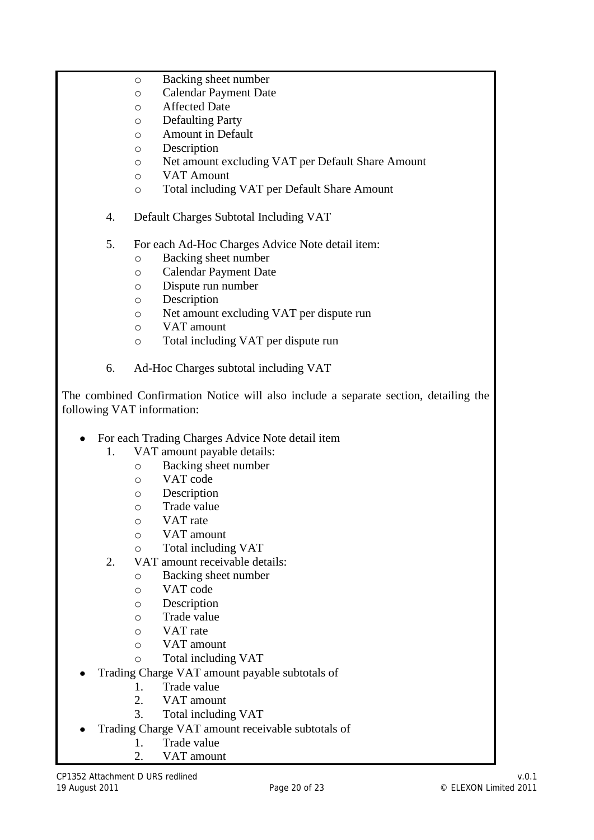- o Backing sheet number
- o Calendar Payment Date
- o Affected Date
- o Defaulting Party
- o Amount in Default
- o Description
- o Net amount excluding VAT per Default Share Amount
- o VAT Amount
- o Total including VAT per Default Share Amount
- 4. Default Charges Subtotal Including VAT
- 5. For each Ad-Hoc Charges Advice Note detail item:
	- o Backing sheet number
	- o Calendar Payment Date
	- o Dispute run number
	- o Description
	- o Net amount excluding VAT per dispute run
	- o VAT amount
	- o Total including VAT per dispute run
- 6. Ad-Hoc Charges subtotal including VAT

The combined Confirmation Notice will also include a separate section, detailing the following VAT information:

- For each Trading Charges Advice Note detail item
	- 1. VAT amount payable details:
		- o Backing sheet number
			- o VAT code
			- o Description
			- o Trade value
			- o VAT rate
			- o VAT amount
			- o Total including VAT
	- 2. VAT amount receivable details:
		- o Backing sheet number
		- o VAT code
		- o Description
		- o Trade value
		- o VAT rate
		- o VAT amount
		- o Total including VAT
- Trading Charge VAT amount payable subtotals of
	- 1. Trade value
	- 2. VAT amount
	- 3. Total including VAT
- Trading Charge VAT amount receivable subtotals of
	- 1. Trade value
	- 2. VAT amount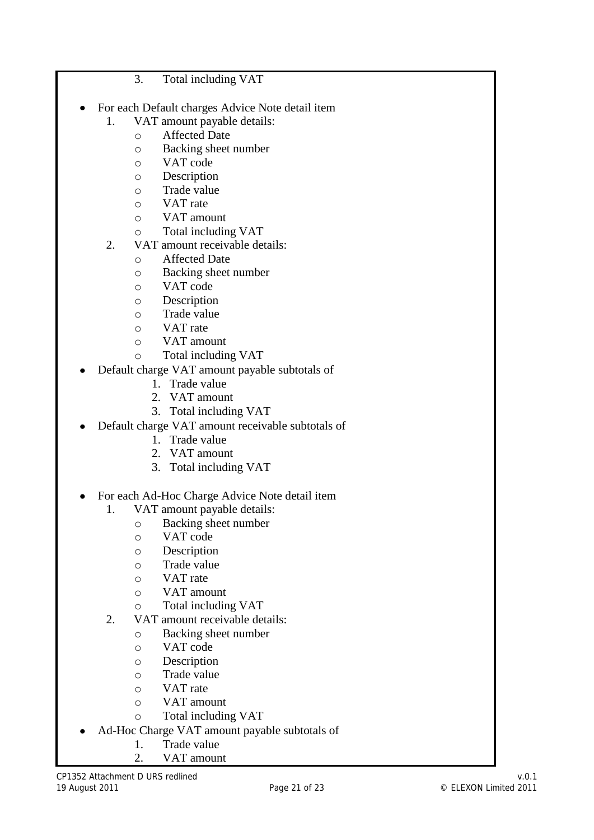#### 3. Total including VAT

- For each Default charges Advice Note detail item
	- 1. VAT amount payable details:
		- o Affected Date
			- o Backing sheet number
			- o VAT code
			- o Description
			- o Trade value
			- o VAT rate
			- o VAT amount
			- o Total including VAT
	- 2. VAT amount receivable details:
		- o Affected Date
		- o Backing sheet number
		- o VAT code
		- o Description
		- o Trade value
		- o VAT rate
		- o VAT amount
		- o Total including VAT
- Default charge VAT amount payable subtotals of
	- 1. Trade value
	- 2. VAT amount
	- 3. Total including VAT
- Default charge VAT amount receivable subtotals of
	- 1. Trade value
	- 2. VAT amount
	- 3. Total including VAT
- For each Ad-Hoc Charge Advice Note detail item
	- 1. VAT amount payable details:
		- o Backing sheet number
		- o VAT code
		- o Description
		- o Trade value
		- o VAT rate
		- o VAT amount
		- o Total including VAT
	- 2. VAT amount receivable details:
		- o Backing sheet number
		- o VAT code
		- o Description
		- o Trade value
		- o VAT rate
		- o VAT amount
		- o Total including VAT
- Ad-Hoc Charge VAT amount payable subtotals of
	- 1. Trade value
	- 2. VAT amount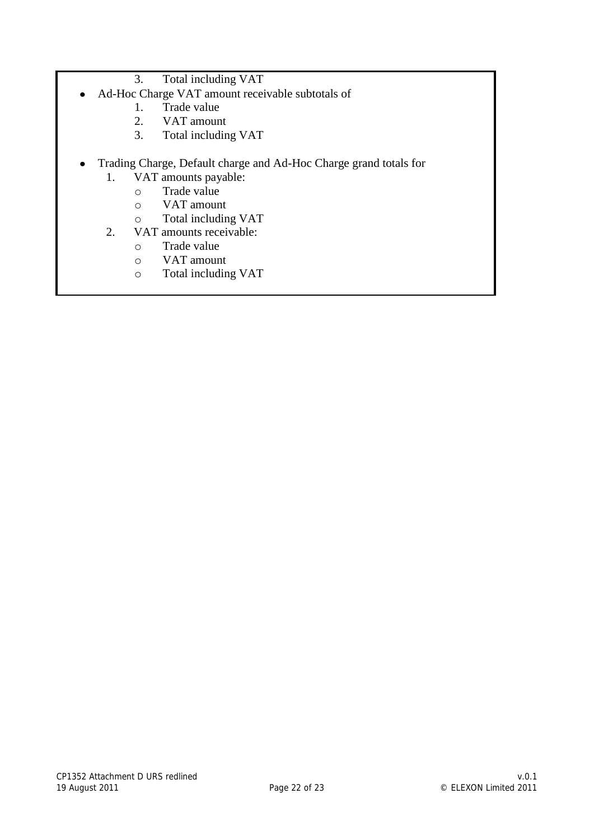- 3. Total including VAT
- Ad-Hoc Charge VAT amount receivable subtotals of  $\bullet$ 
	- 1. Trade value
	- 2. VAT amount
	- 3. Total including VAT
- Trading Charge, Default charge and Ad-Hoc Charge grand totals for
	- 1. VAT amounts payable:
		- o Trade value
		- o VAT amount
		- o Total including VAT
	- 2. VAT amounts receivable:
		- o Trade value
		- o VAT amount
		- o Total including VAT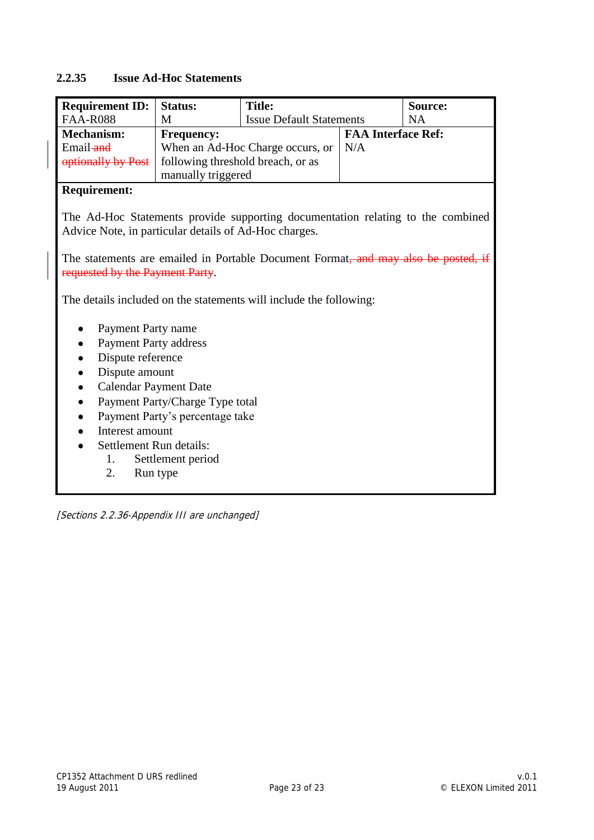#### **2.2.35 Issue Ad-Hoc Statements**

| <b>Requirement ID:</b>                                                                                                                                                                                                                     | <b>Status:</b>                  | <b>Title:</b>                                                      |                           | Source:   |  |
|--------------------------------------------------------------------------------------------------------------------------------------------------------------------------------------------------------------------------------------------|---------------------------------|--------------------------------------------------------------------|---------------------------|-----------|--|
| <b>FAA-R088</b>                                                                                                                                                                                                                            | M                               | <b>Issue Default Statements</b>                                    |                           | <b>NA</b> |  |
| <b>Mechanism:</b>                                                                                                                                                                                                                          | <b>Frequency:</b>               |                                                                    | <b>FAA Interface Ref:</b> |           |  |
| Email-and                                                                                                                                                                                                                                  |                                 | When an Ad-Hoc Charge occurs, or                                   | N/A                       |           |  |
| optionally by Post                                                                                                                                                                                                                         |                                 | following threshold breach, or as                                  |                           |           |  |
|                                                                                                                                                                                                                                            | manually triggered              |                                                                    |                           |           |  |
| <b>Requirement:</b>                                                                                                                                                                                                                        |                                 |                                                                    |                           |           |  |
| The Ad-Hoc Statements provide supporting documentation relating to the combined<br>Advice Note, in particular details of Ad-Hoc charges.<br>The statements are emailed in Portable Document Format <del>, and may also be posted, if</del> |                                 |                                                                    |                           |           |  |
| requested by the Payment Party.                                                                                                                                                                                                            |                                 |                                                                    |                           |           |  |
|                                                                                                                                                                                                                                            |                                 | The details included on the statements will include the following: |                           |           |  |
| Payment Party name                                                                                                                                                                                                                         |                                 |                                                                    |                           |           |  |
| <b>Payment Party address</b>                                                                                                                                                                                                               |                                 |                                                                    |                           |           |  |
| Dispute reference                                                                                                                                                                                                                          |                                 |                                                                    |                           |           |  |
| Dispute amount                                                                                                                                                                                                                             |                                 |                                                                    |                           |           |  |
|                                                                                                                                                                                                                                            | <b>Calendar Payment Date</b>    |                                                                    |                           |           |  |
| $\bullet$                                                                                                                                                                                                                                  | Payment Party/Charge Type total |                                                                    |                           |           |  |
|                                                                                                                                                                                                                                            | Payment Party's percentage take |                                                                    |                           |           |  |
| Interest amount                                                                                                                                                                                                                            |                                 |                                                                    |                           |           |  |
| Settlement Run details:                                                                                                                                                                                                                    |                                 |                                                                    |                           |           |  |
| 1.                                                                                                                                                                                                                                         | Settlement period               |                                                                    |                           |           |  |
| 2.                                                                                                                                                                                                                                         | Run type                        |                                                                    |                           |           |  |

[Sections 2.2.36-Appendix III are unchanged]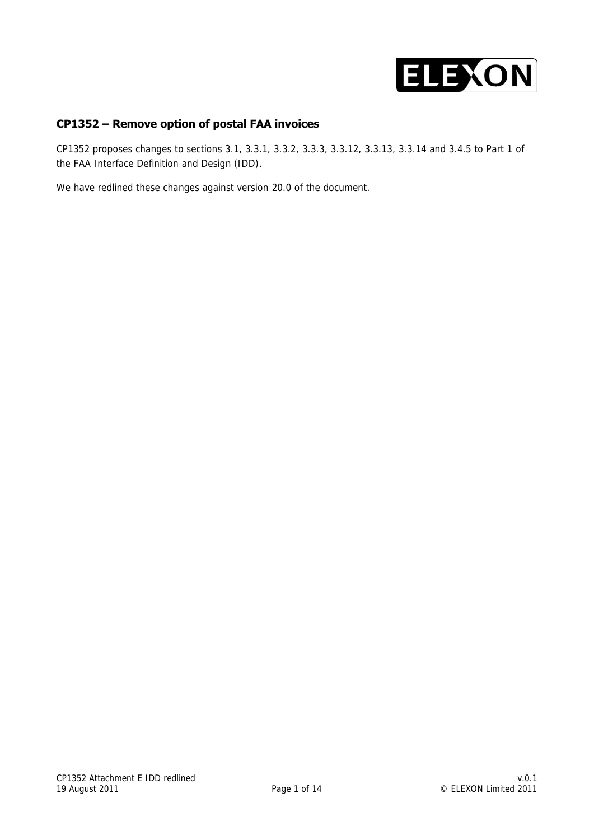

#### **CP1352 – Remove option of postal FAA invoices**

CP1352 proposes changes to sections 3.1, 3.3.1, 3.3.2, 3.3.3, 3.3.12, 3.3.13, 3.3.14 and 3.4.5 to Part 1 of the FAA Interface Definition and Design (IDD).

We have redlined these changes against version 20.0 of the document.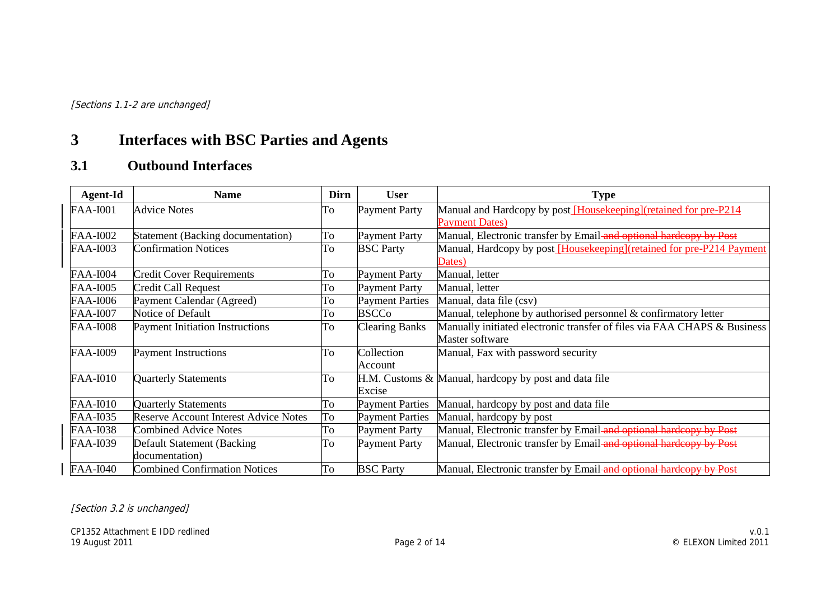[Sections 1.1-2 are unchanged]

# **3 Interfaces with BSC Parties and Agents**

# **3.1 Outbound Interfaces**

| Agent-Id        | <b>Name</b>                                  | Dirn | <b>User</b>            | <b>Type</b>                                                              |
|-----------------|----------------------------------------------|------|------------------------|--------------------------------------------------------------------------|
| <b>FAA-I001</b> | <b>Advice Notes</b>                          | To   | <b>Payment Party</b>   | Manual and Hardcopy by post [Housekeeping](retained for pre-P214         |
|                 |                                              |      |                        | <b>Payment Dates)</b>                                                    |
| <b>FAA-I002</b> | Statement (Backing documentation)            | To   | <b>Payment Party</b>   | Manual, Electronic transfer by Email and optional hardcopy by Post       |
| <b>FAA-I003</b> | <b>Confirmation Notices</b>                  | To   | <b>BSC</b> Party       | Manual, Hardcopy by post [Housekeeping](retained for pre-P214 Payment    |
|                 |                                              |      |                        | Dates)                                                                   |
| <b>FAA-I004</b> | <b>Credit Cover Requirements</b>             | To   | <b>Payment Party</b>   | Manual, letter                                                           |
| <b>FAA-I005</b> | Credit Call Request                          | To   | <b>Payment Party</b>   | Manual, letter                                                           |
| <b>FAA-I006</b> | Payment Calendar (Agreed)                    | To   | <b>Payment Parties</b> | Manual, data file (csv)                                                  |
| <b>FAA-I007</b> | Notice of Default                            | To   | <b>BSCCo</b>           | Manual, telephone by authorised personnel $\&$ confirmatory letter       |
| <b>FAA-I008</b> | <b>Payment Initiation Instructions</b>       | To   | <b>Clearing Banks</b>  | Manually initiated electronic transfer of files via FAA CHAPS & Business |
|                 |                                              |      |                        | Master software                                                          |
| <b>FAA-I009</b> | <b>Payment Instructions</b>                  | To   | Collection             | Manual, Fax with password security                                       |
|                 |                                              |      | Account                |                                                                          |
| <b>FAA-I010</b> | <b>Quarterly Statements</b>                  | To   |                        | $H.M.$ Customs $\&$ Manual, hardcopy by post and data file               |
|                 |                                              |      | Excise                 |                                                                          |
| <b>FAA-I010</b> | <b>Quarterly Statements</b>                  | To   | <b>Payment Parties</b> | Manual, hardcopy by post and data file                                   |
| FAA-I035        | <b>Reserve Account Interest Advice Notes</b> | To   | <b>Payment Parties</b> | Manual, hardcopy by post                                                 |
| <b>FAA-I038</b> | <b>Combined Advice Notes</b>                 | To   | <b>Payment Party</b>   | Manual, Electronic transfer by Email and optional hardcopy by Post       |
| <b>FAA-I039</b> | Default Statement (Backing)                  | To   | <b>Payment Party</b>   | Manual, Electronic transfer by Email-and optional hardcopy by Post       |
|                 | documentation)                               |      |                        |                                                                          |
| <b>FAA-I040</b> | <b>Combined Confirmation Notices</b>         | To   | <b>BSC</b> Party       | Manual, Electronic transfer by Email and optional hardcopy by Post       |

[Section 3.2 is unchanged]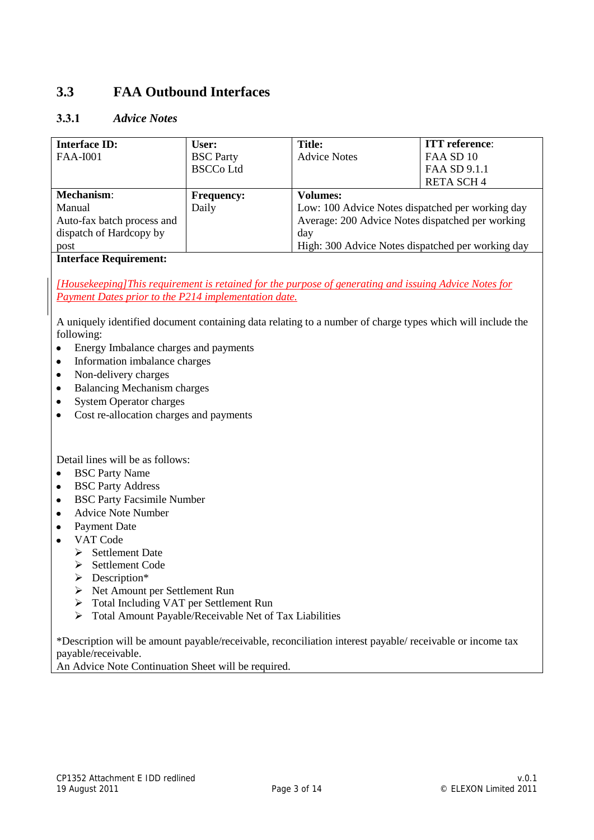# **3.3 FAA Outbound Interfaces**

#### **3.3.1** *Advice Notes*

| <b>Interface ID:</b>       | User:             | <b>Title:</b>                                     | <b>ITT</b> reference: |
|----------------------------|-------------------|---------------------------------------------------|-----------------------|
| <b>FAA-I001</b>            | <b>BSC</b> Party  | <b>Advice Notes</b>                               | FAA SD 10             |
|                            | <b>BSCCo Ltd</b>  |                                                   | FAA SD 9.1.1          |
|                            |                   |                                                   | <b>RETA SCH4</b>      |
| <b>Mechanism:</b>          | <b>Frequency:</b> | <b>Volumes:</b>                                   |                       |
| Manual                     | Daily             | Low: 100 Advice Notes dispatched per working day  |                       |
| Auto-fax batch process and |                   | Average: 200 Advice Notes dispatched per working  |                       |
| dispatch of Hardcopy by    |                   | day                                               |                       |
| post                       |                   | High: 300 Advice Notes dispatched per working day |                       |

#### **Interface Requirement:**

*[Housekeeping]This requirement is retained for the purpose of generating and issuing Advice Notes for Payment Dates prior to the P214 implementation date.*

A uniquely identified document containing data relating to a number of charge types which will include the following:

- Energy Imbalance charges and payments  $\bullet$
- Information imbalance charges  $\bullet$
- Non-delivery charges
- $\bullet$ Balancing Mechanism charges
- $\bullet$ System Operator charges
- Cost re-allocation charges and payments  $\bullet$

Detail lines will be as follows:

- $\bullet$ BSC Party Name
- BSC Party Address
- BSC Party Facsimile Number  $\bullet$
- Advice Note Number  $\bullet$
- Payment Date  $\bullet$
- VAT Code  $\bullet$ 
	- $\triangleright$  Settlement Date
	- Settlement Code
	- > Description\*
	- Net Amount per Settlement Run
	- Total Including VAT per Settlement Run
	- Total Amount Payable/Receivable Net of Tax Liabilities

\*Description will be amount payable/receivable, reconciliation interest payable/ receivable or income tax payable/receivable.

An Advice Note Continuation Sheet will be required.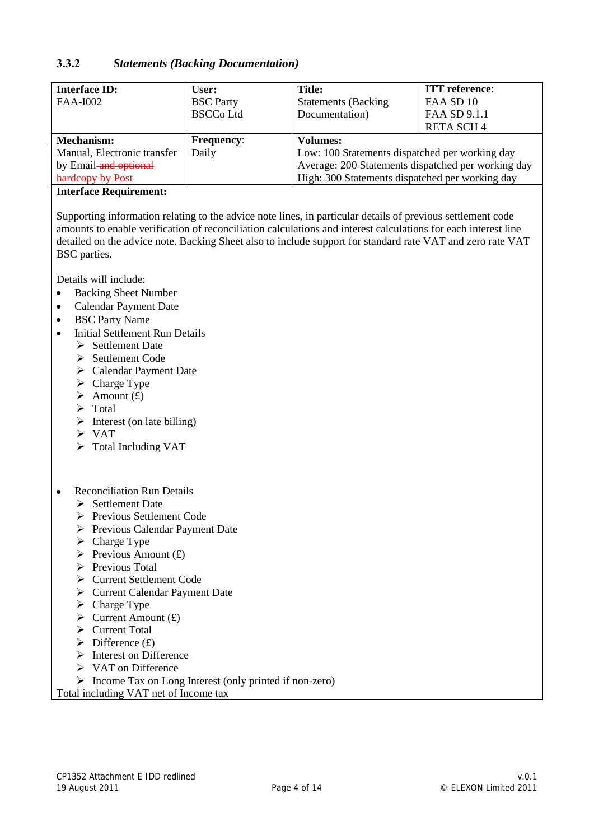#### **3.3.2** *Statements (Backing Documentation)*

| <b>Interface ID:</b>        | User:             | <b>Title:</b>                                      | <b>ITT</b> reference: |
|-----------------------------|-------------------|----------------------------------------------------|-----------------------|
| <b>FAA-I002</b>             | <b>BSC</b> Party  | <b>Statements (Backing</b>                         | FAA SD 10             |
|                             | <b>BSCCo Ltd</b>  | Documentation)                                     | FAA SD 9.1.1          |
|                             |                   |                                                    | <b>RETA SCH4</b>      |
| Mechanism:                  | <b>Frequency:</b> | <b>Volumes:</b>                                    |                       |
| Manual, Electronic transfer | Daily             | Low: 100 Statements dispatched per working day     |                       |
| by Email-and optional       |                   | Average: 200 Statements dispatched per working day |                       |
| hardcopy by Post            |                   | High: 300 Statements dispatched per working day    |                       |

#### **Interface Requirement:**

Supporting information relating to the advice note lines, in particular details of previous settlement code amounts to enable verification of reconciliation calculations and interest calculations for each interest line detailed on the advice note. Backing Sheet also to include support for standard rate VAT and zero rate VAT BSC parties.

Details will include:

- Backing Sheet Number  $\bullet$
- Calendar Payment Date  $\bullet$
- BSC Party Name  $\bullet$
- Initial Settlement Run Details  $\bullet$ 
	- $\triangleright$  Settlement Date
	- $\triangleright$  Settlement Code
	- Calendar Payment Date
	- $\triangleright$  Charge Type
	- $\triangleright$  Amount (£)
	- $\triangleright$  Total
	- $\triangleright$  Interest (on late billing)
	- $\triangleright$  VAT
	- $\triangleright$  Total Including VAT
- Reconciliation Run Details  $\bullet$ 
	- $\triangleright$  Settlement Date
	- Previous Settlement Code
	- Previous Calendar Payment Date
	- $\triangleright$  Charge Type
	- $\triangleright$  Previous Amount (£)
	- $\triangleright$  Previous Total
	- Current Settlement Code
	- Current Calendar Payment Date
	- $\triangleright$  Charge Type
	- $\triangleright$  Current Amount (£)
	- Current Total
	- $\triangleright$  Difference (£)
	- $\triangleright$  Interest on Difference
	- **► VAT on Difference**
	- Income Tax on Long Interest (only printed if non-zero)

Total including VAT net of Income tax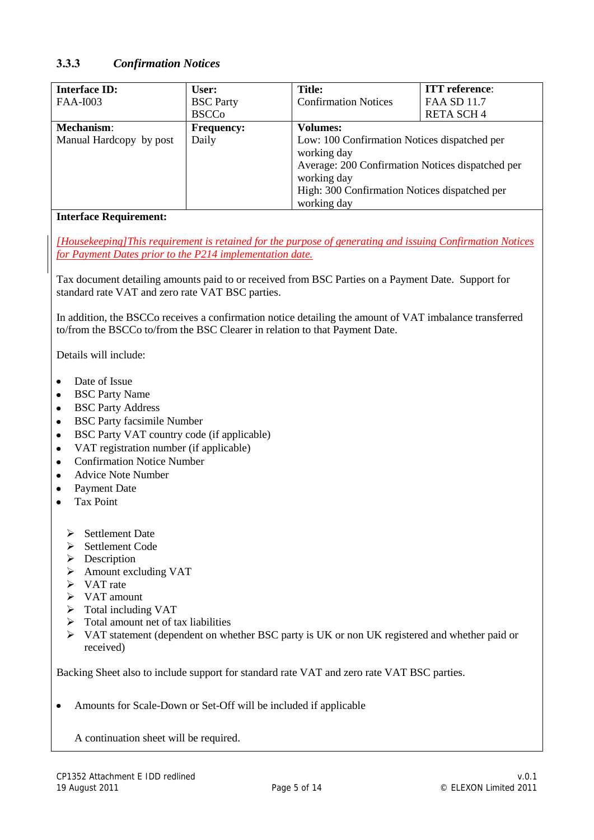#### **3.3.3** *Confirmation Notices*

| <b>Interface ID:</b>    | User:             | <b>Title:</b>                                                                                                                                                                                  | <b>ITT</b> reference: |
|-------------------------|-------------------|------------------------------------------------------------------------------------------------------------------------------------------------------------------------------------------------|-----------------------|
| <b>FAA-I003</b>         | <b>BSC</b> Party  | <b>Confirmation Notices</b>                                                                                                                                                                    | <b>FAA SD 11.7</b>    |
|                         | <b>BSCCo</b>      |                                                                                                                                                                                                | <b>RETA SCH4</b>      |
| <b>Mechanism:</b>       | <b>Frequency:</b> | <b>Volumes:</b>                                                                                                                                                                                |                       |
| Manual Hardcopy by post | Daily             | Low: 100 Confirmation Notices dispatched per<br>working day<br>Average: 200 Confirmation Notices dispatched per<br>working day<br>High: 300 Confirmation Notices dispatched per<br>working day |                       |

#### **Interface Requirement:**

*[Housekeeping]This requirement is retained for the purpose of generating and issuing Confirmation Notices for Payment Dates prior to the P214 implementation date.*

Tax document detailing amounts paid to or received from BSC Parties on a Payment Date. Support for standard rate VAT and zero rate VAT BSC parties.

In addition, the BSCCo receives a confirmation notice detailing the amount of VAT imbalance transferred to/from the BSCCo to/from the BSC Clearer in relation to that Payment Date.

Details will include:

- Date of Issue  $\bullet$
- BSC Party Name
- BSC Party Address
- BSC Party facsimile Number  $\bullet$
- BSC Party VAT country code (if applicable)  $\bullet$
- VAT registration number (if applicable)
- Confirmation Notice Number
- Advice Note Number
- Payment Date
- Tax Point
	- $\triangleright$  Settlement Date
	- $\triangleright$  Settlement Code
	- $\triangleright$  Description
	- Amount excluding VAT
	- $\triangleright$  VAT rate
	- $\triangleright$  VAT amount
	- $\triangleright$  Total including VAT
	- $\triangleright$  Total amount net of tax liabilities
	- VAT statement (dependent on whether BSC party is UK or non UK registered and whether paid or received)

Backing Sheet also to include support for standard rate VAT and zero rate VAT BSC parties.

Amounts for Scale-Down or Set-Off will be included if applicable  $\bullet$ 

A continuation sheet will be required.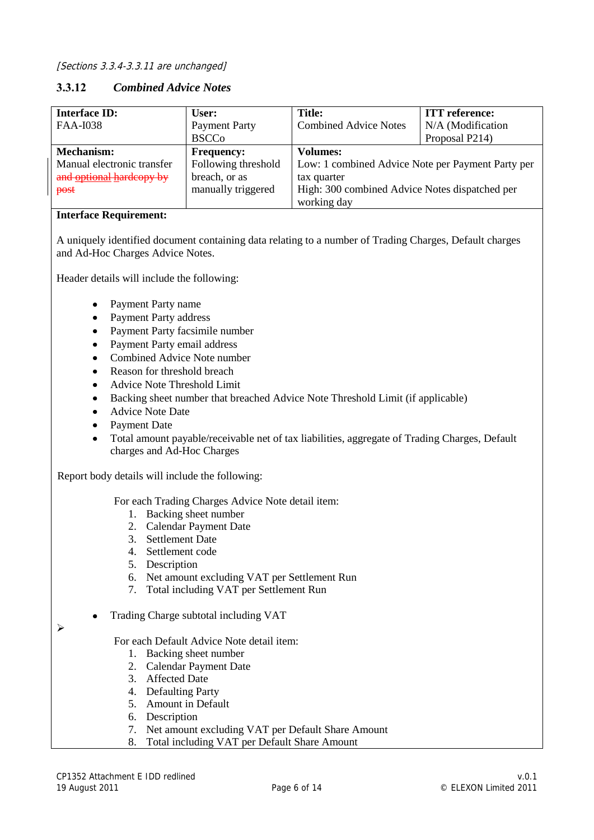#### **3.3.12** *Combined Advice Notes*

| <b>Interface ID:</b>       | User:                | <b>Title:</b>                                     | <b>ITT</b> reference: |
|----------------------------|----------------------|---------------------------------------------------|-----------------------|
| <b>FAA-I038</b>            | <b>Payment Party</b> | <b>Combined Advice Notes</b>                      | N/A (Modification     |
|                            | <b>BSCCo</b>         |                                                   | Proposal P214)        |
| Mechanism:                 | <b>Frequency:</b>    | Volumes:                                          |                       |
| Manual electronic transfer | Following threshold  | Low: 1 combined Advice Note per Payment Party per |                       |
| and optional hardcopy by   | breach, or as        | tax quarter                                       |                       |
| post                       | manually triggered   | High: 300 combined Advice Notes dispatched per    |                       |
|                            |                      | working day                                       |                       |

#### **Interface Requirement:**

A uniquely identified document containing data relating to a number of Trading Charges, Default charges and Ad-Hoc Charges Advice Notes.

Header details will include the following:

- Payment Party name  $\bullet$
- Payment Party address
- Payment Party facsimile number
- Payment Party email address
- Combined Advice Note number
- Reason for threshold breach  $\bullet$
- Advice Note Threshold Limit
- Backing sheet number that breached Advice Note Threshold Limit (if applicable)  $\bullet$
- Advice Note Date
- Payment Date
- Total amount payable/receivable net of tax liabilities, aggregate of Trading Charges, Default charges and Ad-Hoc Charges

Report body details will include the following:

For each Trading Charges Advice Note detail item:

- 1. Backing sheet number
- 2. Calendar Payment Date
- 3. Settlement Date
- 4. Settlement code
- 5. Description
- 6. Net amount excluding VAT per Settlement Run
- 7. Total including VAT per Settlement Run
- Trading Charge subtotal including VAT
- $\blacktriangleright$

For each Default Advice Note detail item:

- 1. Backing sheet number
- 2. Calendar Payment Date
- 3. Affected Date
- 4. Defaulting Party
- 5. Amount in Default
- 6. Description
- 7. Net amount excluding VAT per Default Share Amount
- 8. Total including VAT per Default Share Amount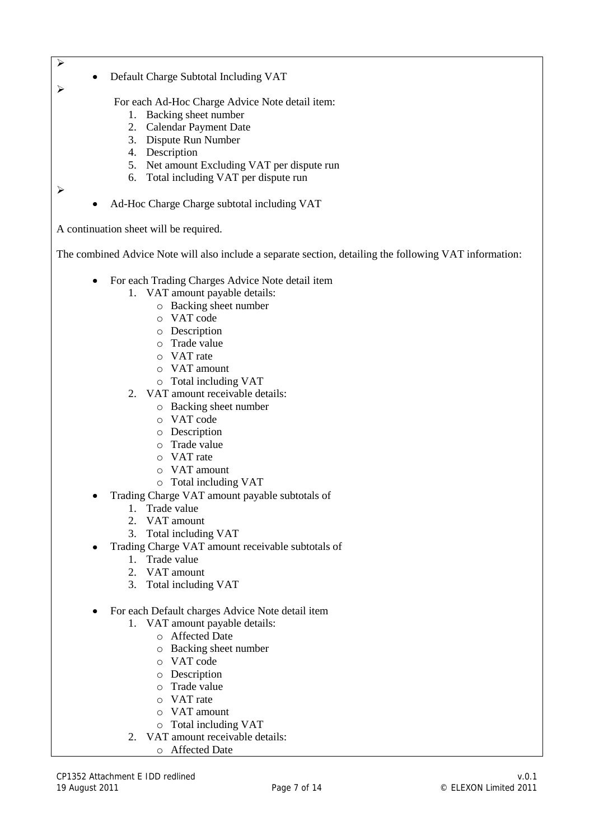⋗

 $\blacktriangleright$ 

Default Charge Subtotal Including VAT

For each Ad-Hoc Charge Advice Note detail item:

- 1. Backing sheet number
- 2. Calendar Payment Date
- 3. Dispute Run Number
- 4. Description
- 5. Net amount Excluding VAT per dispute run
- 6. Total including VAT per dispute run

 $\blacktriangleright$ 

Ad-Hoc Charge Charge subtotal including VAT

A continuation sheet will be required.

The combined Advice Note will also include a separate section, detailing the following VAT information:

- For each Trading Charges Advice Note detail item  $\bullet$ 
	- 1. VAT amount payable details:
		- o Backing sheet number
		- o VAT code
		- o Description
		- o Trade value
		- o VAT rate
		- o VAT amount
		- o Total including VAT
	- 2. VAT amount receivable details:
		- o Backing sheet number
		- o VAT code
		- o Description
		- o Trade value
		- o VAT rate
		- o VAT amount
		- o Total including VAT
- Trading Charge VAT amount payable subtotals of
	- 1. Trade value
	- 2. VAT amount
	- 3. Total including VAT
- Trading Charge VAT amount receivable subtotals of
	- 1. Trade value
	- 2. VAT amount
	- 3. Total including VAT
- For each Default charges Advice Note detail item
	- 1. VAT amount payable details:
		- o Affected Date
		- o Backing sheet number
		- o VAT code
		- o Description
		- o Trade value
		- o VAT rate
		- o VAT amount
		- o Total including VAT
	- 2. VAT amount receivable details:
		- o Affected Date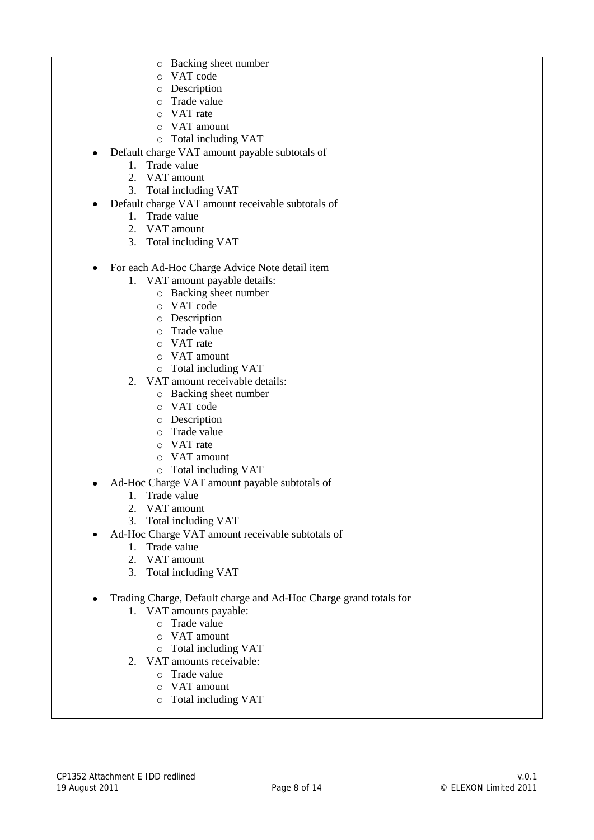- o Backing sheet number
- o VAT code
- o Description
- o Trade value
- o VAT rate
- o VAT amount
- o Total including VAT
- Default charge VAT amount payable subtotals of  $\bullet$ 
	- 1. Trade value
	- 2. VAT amount
	- 3. Total including VAT
- Default charge VAT amount receivable subtotals of
	- 1. Trade value
	- 2. VAT amount
	- 3. Total including VAT
- $\bullet$ For each Ad-Hoc Charge Advice Note detail item
	- 1. VAT amount payable details:
		- o Backing sheet number
		- o VAT code
		- o Description
		- o Trade value
		- o VAT rate
		- o VAT amount
		- o Total including VAT
	- 2. VAT amount receivable details:
		- o Backing sheet number
		- o VAT code
		- o Description
		- o Trade value
		- o VAT rate
		- o VAT amount
		- o Total including VAT
- Ad-Hoc Charge VAT amount payable subtotals of
	- 1. Trade value
	- 2. VAT amount
	- 3. Total including VAT
- Ad-Hoc Charge VAT amount receivable subtotals of
	- 1. Trade value
	- 2. VAT amount
	- 3. Total including VAT
- $\bullet$ Trading Charge, Default charge and Ad-Hoc Charge grand totals for
	- 1. VAT amounts payable:
		- o Trade value
			- o VAT amount
		- o Total including VAT
	- 2. VAT amounts receivable:
		- o Trade value
		- o VAT amount
		- o Total including VAT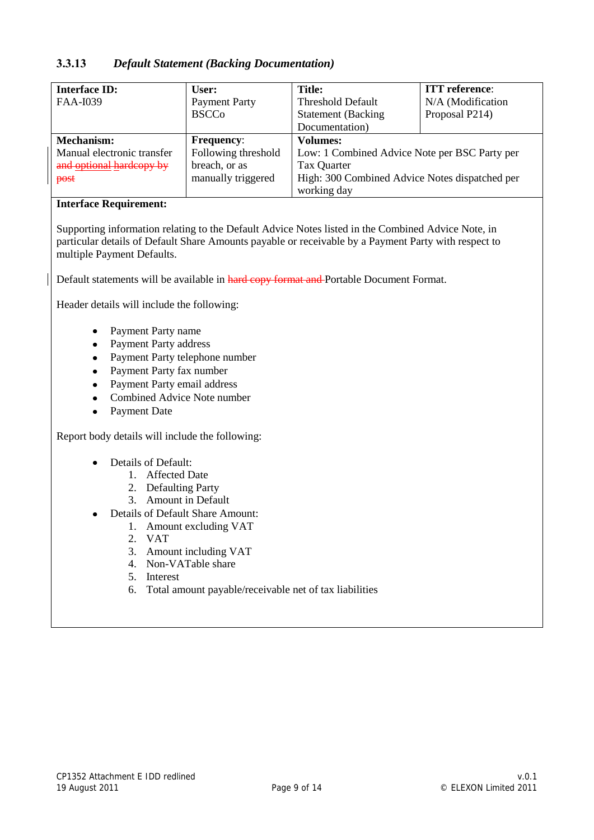#### **3.3.13** *Default Statement (Backing Documentation)*

| <b>Interface ID:</b>       | User:                | <b>Title:</b>                                  | <b>ITT</b> reference: |
|----------------------------|----------------------|------------------------------------------------|-----------------------|
| FAA-I039                   | <b>Payment Party</b> | <b>Threshold Default</b>                       | N/A (Modification     |
|                            | <b>BSCCo</b>         | <b>Statement</b> (Backing                      | Proposal P214)        |
|                            |                      | Documentation)                                 |                       |
| Mechanism:                 | <b>Frequency:</b>    | <b>Volumes:</b>                                |                       |
| Manual electronic transfer | Following threshold  | Low: 1 Combined Advice Note per BSC Party per  |                       |
| and optional hardcopy by   | breach, or as        | Tax Quarter                                    |                       |
| post                       | manually triggered   | High: 300 Combined Advice Notes dispatched per |                       |
|                            |                      | working day                                    |                       |

#### **Interface Requirement:**

Supporting information relating to the Default Advice Notes listed in the Combined Advice Note, in particular details of Default Share Amounts payable or receivable by a Payment Party with respect to multiple Payment Defaults.

Default statements will be available in hard copy format and Portable Document Format.

Header details will include the following:

- Payment Party name
- Payment Party address
- Payment Party telephone number
- $\bullet$ Payment Party fax number
- Payment Party email address
- Combined Advice Note number
- Payment Date  $\bullet$

Report body details will include the following:

- Details of Default:
	- 1. Affected Date
	- 2. Defaulting Party
	- 3. Amount in Default
- Details of Default Share Amount:
	- 1. Amount excluding VAT
	- 2. VAT
	- 3. Amount including VAT
	- 4. Non-VATable share
	- 5. Interest
	- 6. Total amount payable/receivable net of tax liabilities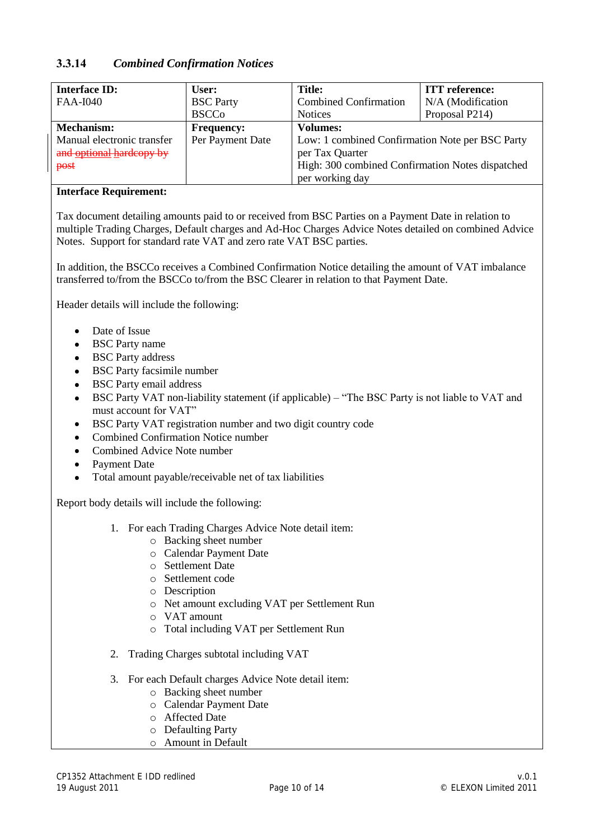#### **3.3.14** *Combined Confirmation Notices*

| <b>Interface ID:</b>       | User:             | <b>Title:</b>                                    | <b>ITT</b> reference: |
|----------------------------|-------------------|--------------------------------------------------|-----------------------|
| <b>FAA-I040</b>            | <b>BSC</b> Party  | <b>Combined Confirmation</b>                     | N/A (Modification     |
|                            | <b>BSCCo</b>      | <b>Notices</b>                                   | Proposal P214)        |
| Mechanism:                 | <b>Frequency:</b> | <b>Volumes:</b>                                  |                       |
| Manual electronic transfer | Per Payment Date  | Low: 1 combined Confirmation Note per BSC Party  |                       |
| and optional hardcopy by   |                   | per Tax Quarter                                  |                       |
| post                       |                   | High: 300 combined Confirmation Notes dispatched |                       |
|                            |                   | per working day                                  |                       |

#### **Interface Requirement:**

Tax document detailing amounts paid to or received from BSC Parties on a Payment Date in relation to multiple Trading Charges, Default charges and Ad-Hoc Charges Advice Notes detailed on combined Advice Notes. Support for standard rate VAT and zero rate VAT BSC parties.

In addition, the BSCCo receives a Combined Confirmation Notice detailing the amount of VAT imbalance transferred to/from the BSCCo to/from the BSC Clearer in relation to that Payment Date.

Header details will include the following:

- Date of Issue
- BSC Party name
- BSC Party address
- BSC Party facsimile number
- BSC Party email address  $\bullet$
- BSC Party VAT non-liability statement (if applicable) "The BSC Party is not liable to VAT and  $\bullet$ must account for VAT"
- $\bullet$ BSC Party VAT registration number and two digit country code
- Combined Confirmation Notice number  $\bullet$
- Combined Advice Note number
- Payment Date
- $\bullet$ Total amount payable/receivable net of tax liabilities

Report body details will include the following:

- 1. For each Trading Charges Advice Note detail item:
	- o Backing sheet number
	- o Calendar Payment Date
	- o Settlement Date
	- o Settlement code
	- o Description
	- o Net amount excluding VAT per Settlement Run
	- o VAT amount
	- o Total including VAT per Settlement Run
- 2. Trading Charges subtotal including VAT
- 3. For each Default charges Advice Note detail item:
	- o Backing sheet number
	- o Calendar Payment Date
	- o Affected Date
	- o Defaulting Party
	- o Amount in Default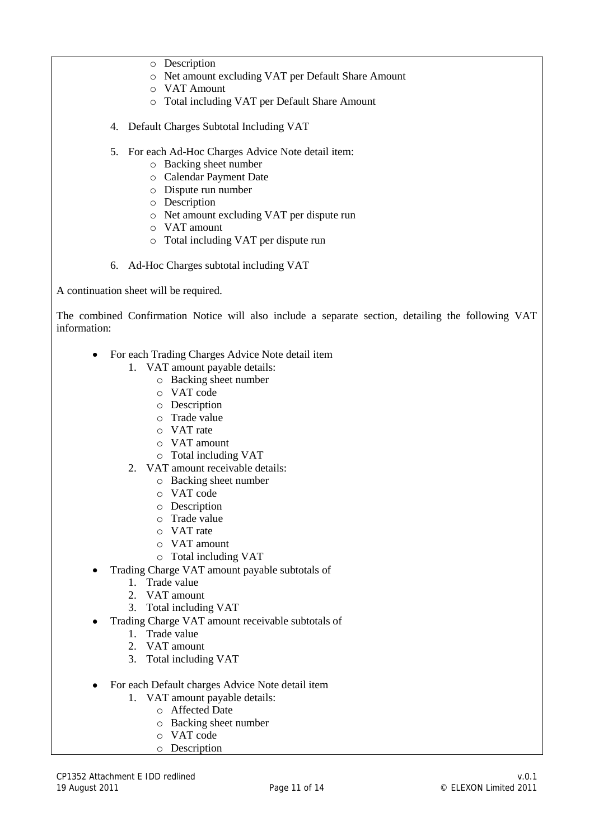- o Description
- o Net amount excluding VAT per Default Share Amount
- o VAT Amount
- o Total including VAT per Default Share Amount
- 4. Default Charges Subtotal Including VAT
- 5. For each Ad-Hoc Charges Advice Note detail item:
	- o Backing sheet number
	- o Calendar Payment Date
	- o Dispute run number
	- o Description
	- o Net amount excluding VAT per dispute run
	- o VAT amount
	- o Total including VAT per dispute run
- 6. Ad-Hoc Charges subtotal including VAT

A continuation sheet will be required.

The combined Confirmation Notice will also include a separate section, detailing the following VAT information:

- For each Trading Charges Advice Note detail item  $\bullet$ 
	- 1. VAT amount payable details:
		- o Backing sheet number
		- o VAT code
		- o Description
		- o Trade value
		- o VAT rate
		- o VAT amount
		- o Total including VAT
	- 2. VAT amount receivable details:
		- o Backing sheet number
		- o VAT code
		- o Description
		- o Trade value
		- o VAT rate
		- o VAT amount
		- o Total including VAT
- Trading Charge VAT amount payable subtotals of
	- 1. Trade value
	- 2. VAT amount
	- 3. Total including VAT
- Trading Charge VAT amount receivable subtotals of
	- 1. Trade value
	- 2. VAT amount
	- 3. Total including VAT
- For each Default charges Advice Note detail item
	- 1. VAT amount payable details:
		- o Affected Date
			- o Backing sheet number
			- o VAT code
			- o Description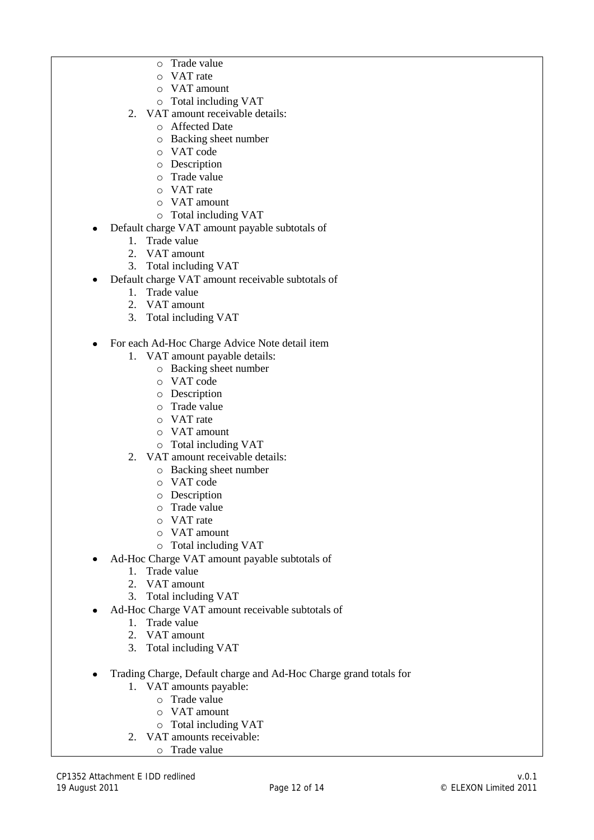- o Trade value
- o VAT rate
- o VAT amount
- o Total including VAT
- 2. VAT amount receivable details:
	- o Affected Date
	- o Backing sheet number
	- o VAT code
	- o Description
	- o Trade value
	- o VAT rate
	- o VAT amount
	- o Total including VAT
- Default charge VAT amount payable subtotals of  $\bullet$ 
	- 1. Trade value
	- 2. VAT amount
	- 3. Total including VAT
- Default charge VAT amount receivable subtotals of
	- 1. Trade value
	- 2. VAT amount
	- 3. Total including VAT
- For each Ad-Hoc Charge Advice Note detail item  $\bullet$ 
	- 1. VAT amount payable details:
		- o Backing sheet number
		- o VAT code
		- o Description
		- o Trade value
		- o VAT rate
		- o VAT amount
		- o Total including VAT
	- 2. VAT amount receivable details:
		- o Backing sheet number
		- o VAT code
		- o Description
		- o Trade value
		- o VAT rate
		- o VAT amount
		- o Total including VAT
- Ad-Hoc Charge VAT amount payable subtotals of
	- 1. Trade value
	- 2. VAT amount
	- 3. Total including VAT
	- Ad-Hoc Charge VAT amount receivable subtotals of
		- 1. Trade value
		- 2. VAT amount
		- 3. Total including VAT
- Trading Charge, Default charge and Ad-Hoc Charge grand totals for
	- 1. VAT amounts payable:
		- o Trade value
		- o VAT amount
		- o Total including VAT
	- 2. VAT amounts receivable:
		- o Trade value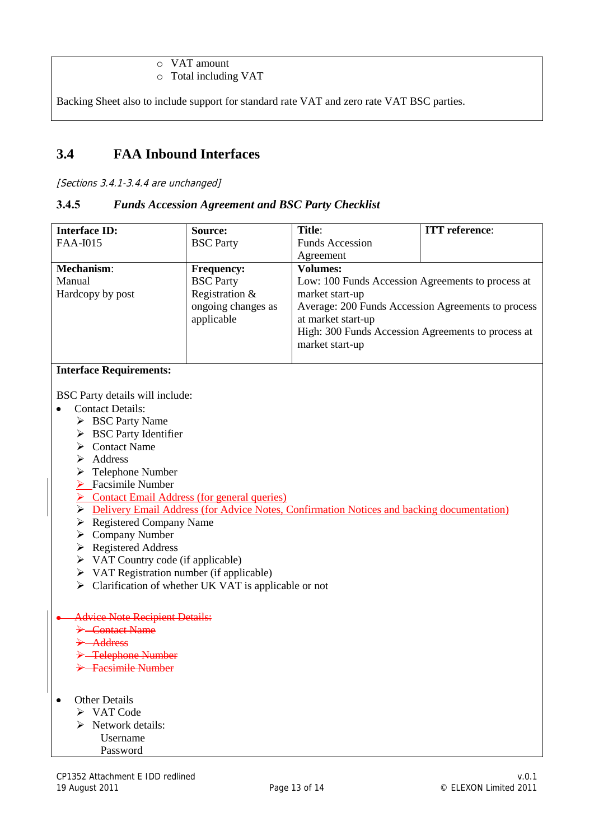o VAT amount

o Total including VAT

Backing Sheet also to include support for standard rate VAT and zero rate VAT BSC parties.

# **3.4 FAA Inbound Interfaces**

[Sections 3.4.1-3.4.4 are unchanged]

#### **3.4.5** *Funds Accession Agreement and BSC Party Checklist*

| <b>Interface ID:</b>                                                                                                                    | Source:                                              | Title:                                             | <b>ITT</b> reference: |
|-----------------------------------------------------------------------------------------------------------------------------------------|------------------------------------------------------|----------------------------------------------------|-----------------------|
| <b>FAA-I015</b>                                                                                                                         |                                                      |                                                    |                       |
|                                                                                                                                         | <b>BSC</b> Party                                     | <b>Funds Accession</b>                             |                       |
|                                                                                                                                         |                                                      | Agreement                                          |                       |
| Mechanism:                                                                                                                              | <b>Frequency:</b>                                    | <b>Volumes:</b>                                    |                       |
| Manual                                                                                                                                  | <b>BSC</b> Party                                     | Low: 100 Funds Accession Agreements to process at  |                       |
| Hardcopy by post                                                                                                                        | Registration &                                       | market start-up                                    |                       |
|                                                                                                                                         | ongoing changes as                                   | Average: 200 Funds Accession Agreements to process |                       |
|                                                                                                                                         | applicable                                           | at market start-up                                 |                       |
|                                                                                                                                         |                                                      | High: 300 Funds Accession Agreements to process at |                       |
|                                                                                                                                         |                                                      | market start-up                                    |                       |
|                                                                                                                                         |                                                      |                                                    |                       |
| <b>Interface Requirements:</b>                                                                                                          |                                                      |                                                    |                       |
| BSC Party details will include:                                                                                                         |                                                      |                                                    |                       |
| <b>Contact Details:</b>                                                                                                                 |                                                      |                                                    |                       |
| > BSC Party Name                                                                                                                        |                                                      |                                                    |                       |
| $\triangleright$ BSC Party Identifier                                                                                                   |                                                      |                                                    |                       |
| <b>Contact Name</b><br>⋗                                                                                                                |                                                      |                                                    |                       |
| Address<br>➤                                                                                                                            |                                                      |                                                    |                       |
| Telephone Number<br>➤                                                                                                                   |                                                      |                                                    |                       |
| $\triangleright$ Facsimile Number                                                                                                       |                                                      |                                                    |                       |
| $\triangleright$ Contact Email Address (for general queries)                                                                            |                                                      |                                                    |                       |
|                                                                                                                                         |                                                      |                                                    |                       |
| <b>Example 1</b> Delivery Email Address (for Advice Notes, Confirmation Notices and backing documentation)<br>> Registered Company Name |                                                      |                                                    |                       |
| $\triangleright$ Company Number                                                                                                         |                                                      |                                                    |                       |
| $\triangleright$ Registered Address                                                                                                     |                                                      |                                                    |                       |
| $\triangleright$ VAT Country code (if applicable)                                                                                       |                                                      |                                                    |                       |
| VAT Registration number (if applicable)<br>➤                                                                                            |                                                      |                                                    |                       |
| ➤                                                                                                                                       | Clarification of whether UK VAT is applicable or not |                                                    |                       |
|                                                                                                                                         |                                                      |                                                    |                       |
| <b>Advice Note Recipient Details:</b>                                                                                                   |                                                      |                                                    |                       |
| Contact Name                                                                                                                            |                                                      |                                                    |                       |
| Address                                                                                                                                 |                                                      |                                                    |                       |
| >-Telephone Number                                                                                                                      |                                                      |                                                    |                       |
| > Facsimile Number                                                                                                                      |                                                      |                                                    |                       |
|                                                                                                                                         |                                                      |                                                    |                       |
| <b>Other Details</b>                                                                                                                    |                                                      |                                                    |                       |
| $\triangleright$ VAT Code                                                                                                               |                                                      |                                                    |                       |
|                                                                                                                                         |                                                      |                                                    |                       |
| Network details:                                                                                                                        |                                                      |                                                    |                       |
| Username                                                                                                                                |                                                      |                                                    |                       |
| Password                                                                                                                                |                                                      |                                                    |                       |